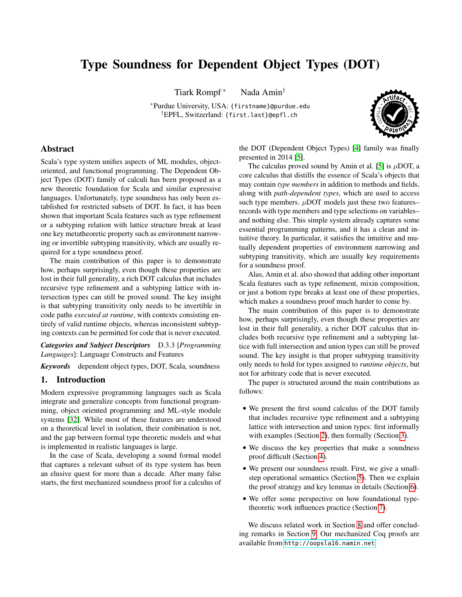# Type Soundness for Dependent Object Types (DOT)

Tiark Rompf<sup>\*</sup> Nada Amin<sup>†</sup>

<sup>∗</sup>Purdue University, USA: {firstname}@purdue.edu †EPFL, Switzerland: {first.last}@epfl.ch



# Abstract

Scala's type system unifies aspects of ML modules, objectoriented, and functional programming. The Dependent Object Types (DOT) family of calculi has been proposed as a new theoretic foundation for Scala and similar expressive languages. Unfortunately, type soundness has only been established for restricted subsets of DOT. In fact, it has been shown that important Scala features such as type refinement or a subtyping relation with lattice structure break at least one key metatheoretic property such as environment narrowing or invertible subtyping transitivity, which are usually required for a type soundness proof.

The main contribution of this paper is to demonstrate how, perhaps surprisingly, even though these properties are lost in their full generality, a rich DOT calculus that includes recursive type refinement and a subtyping lattice with intersection types can still be proved sound. The key insight is that subtyping transitivity only needs to be invertible in code paths *executed at runtime*, with contexts consisting entirely of valid runtime objects, whereas inconsistent subtyping contexts can be permitted for code that is never executed.

*Categories and Subject Descriptors* D.3.3 [*Programming Languages*]: Language Constructs and Features

*Keywords* dependent object types, DOT, Scala, soundness

# 1. Introduction

Modern expressive programming languages such as Scala integrate and generalize concepts from functional programming, object oriented programming and ML-style module systems [\[32\]](#page-15-0). While most of these features are understood on a theoretical level in isolation, their combination is not, and the gap between formal type theoretic models and what is implemented in realistic languages is large.

In the case of Scala, developing a sound formal model that captures a relevant subset of its type system has been an elusive quest for more than a decade. After many false starts, the first mechanized soundness proof for a calculus of the DOT (Dependent Object Types) [\[4\]](#page-15-1) family was finally presented in 2014 [\[5\]](#page-15-2).

The calculus proved sound by Amin et al. [\[5\]](#page-15-2) is  $\mu$ DOT, a core calculus that distills the essence of Scala's objects that may contain *type members* in addition to methods and fields, along with *path-dependent types*, which are used to access such type members.  $\mu$ DOT models just these two features– records with type members and type selections on variables– and nothing else. This simple system already captures some essential programming patterns, and it has a clean and intuitive theory. In particular, it satisfies the intuitive and mutually dependent properties of environment narrowing and subtyping transitivity, which are usually key requirements for a soundness proof.

Alas, Amin et al. also showed that adding other important Scala features such as type refinement, mixin composition, or just a bottom type breaks at least one of these properties, which makes a soundness proof much harder to come by.

The main contribution of this paper is to demonstrate how, perhaps surprisingly, even though these properties are lost in their full generality, a richer DOT calculus that includes both recursive type refinement and a subtyping lattice with full intersection and union types can still be proved sound. The key insight is that proper subtyping transitivity only needs to hold for types assigned to *runtime objects*, but not for arbitrary code that is never executed.

The paper is structured around the main contributions as follows:

- We present the first sound calculus of the DOT family that includes recursive type refinement and a subtyping lattice with intersection and union types: first informally with examples (Section [2\)](#page-0-0), then formally (Section [3\)](#page-3-0).
- We discuss the key properties that make a soundness proof difficult (Section [4\)](#page-5-0).
- We present our soundness result. First, we give a smallstep operational semantics (Section [5\)](#page-7-0). Then we explain the proof strategy and key lemmas in details (Section [6\)](#page-8-0).
- We offer some perspective on how foundational typetheoretic work influences practice (Section [7\)](#page-12-0).

<span id="page-0-0"></span>We discuss related work in Section [8](#page-13-0) and offer concluding remarks in Section [9.](#page-14-0) Our mechanized Coq proofs are available from <http://oopsla16.namin.net>.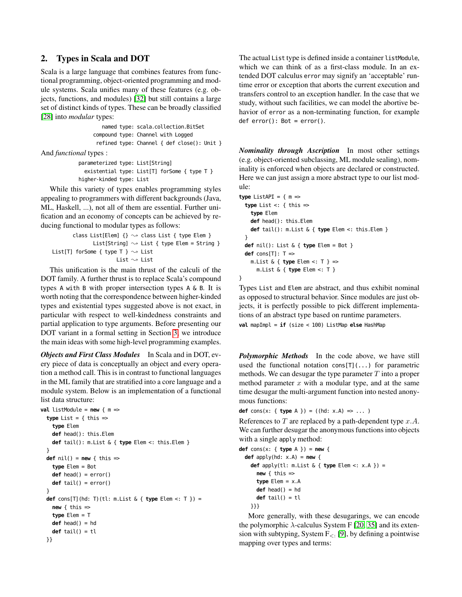# 2. Types in Scala and DOT

Scala is a large language that combines features from functional programming, object-oriented programming and module systems. Scala unifies many of these features (e.g. objects, functions, and modules) [\[32\]](#page-15-0) but still contains a large set of distinct kinds of types. These can be broadly classified [\[28\]](#page-15-3) into *modular* types:

> named type: scala.collection.BitSet compound type: Channel with Logged refined type: Channel { def close(): Unit }

And *functional* types :

```
parameterized type: List[String]
 existential type: List[T] forSome { type T }
higher-kinded type: List
```
While this variety of types enables programming styles appealing to programmers with different backgrounds (Java, ML, Haskell, ...), not all of them are essential. Further unification and an economy of concepts can be achieved by reducing functional to modular types as follows:

```
class List[Elem] \{\}\sim\} class List \{ type Elem \}List[String] \rightsquigarrow List { type Elem = String }
List[T] forSome { type T } \sim List
                         List \sim List
```
This unification is the main thrust of the calculi of the DOT family. A further thrust is to replace Scala's compound types A with B with proper intersection types A & B. It is worth noting that the correspondence between higher-kinded types and existential types suggested above is not exact, in particular with respect to well-kindedness constraints and partial application to type arguments. Before presenting our DOT variant in a formal setting in Section [3,](#page-3-0) we introduce the main ideas with some high-level programming examples.

*Objects and First Class Modules* In Scala and in DOT, every piece of data is conceptually an object and every operation a method call. This is in contrast to functional languages in the ML family that are stratified into a core language and a module system. Below is an implementation of a functional list data structure:

```
val listModule = new \{ m =type List = \{ this =>
    type Elem
   def head(): this.Elem
   def tail(): m.List & { type Elem <: this.Elem }
 }
 def nil() = new { this =>
   type Elem = Bot
   def head() = error()
   def tail() = error()
 }
 def cons[T](hd: T)(tl: m.List & { type Elem <: T }) =
   new { this =>
   type Elem = T
   def head() = hd
   def tail() = tl
 }}
```
The actual List type is defined inside a container listModule, which we can think of as a first-class module. In an extended DOT calculus error may signify an 'acceptable' runtime error or exception that aborts the current execution and transfers control to an exception handler. In the case that we study, without such facilities, we can model the abortive behavior of error as a non-terminating function, for example def  $error()$ : Bot =  $error()$ .

*Nominality through Ascription* In most other settings (e.g. object-oriented subclassing, ML module sealing), nominality is enforced when objects are declared or constructed. Here we can just assign a more abstract type to our list module:

```
type ListAPI = \{ m =type List <: { this =>
   type Elem
    def head(): this.Elem
   def tail(): m.List & { type Elem <: this.Elem }
  }
  def nil(): List & { type Elem = Bot }
  def cons[T]: T =>
    m.List & { type Elem <: T } =>
     m.List & { type Elem <: T }
}
```
Types List and Elem are abstract, and thus exhibit nominal as opposed to structural behavior. Since modules are just objects, it is perfectly possible to pick different implementations of an abstract type based on runtime parameters.

**val** mapImpl = **if** (size < 100) ListMap **else** HashMap

*Polymorphic Methods* In the code above, we have still used the functional notation cons $[T](\ldots)$  for parametric methods. We can desugar the type parameter  $T$  into a proper method parameter  $x$  with a modular type, and at the same time desugar the multi-argument function into nested anonymous functions:

**def** cons(x: { **type** A }) = ((hd: x.A) => ... )

References to  $T$  are replaced by a path-dependent type  $x.A$ . We can further desugar the anonymous functions into objects with a single apply method:

```
def cons(x: { type A }) = new {
  def apply(hd: x.A) = new {
    def apply(tl: m.List & { type Elem <: x.A }) =
      new { this \Rightarrowtype Elem = x.A
      def head() = hd
      def tail() = tl
    }}}
```
More generally, with these desugarings, we can encode the polymorphic  $\lambda$ -calculus System F [\[20,](#page-15-4) [35\]](#page-15-5) and its extension with subtyping, System  $F_{\leq}$ : [\[9\]](#page-15-6), by defining a pointwise mapping over types and terms: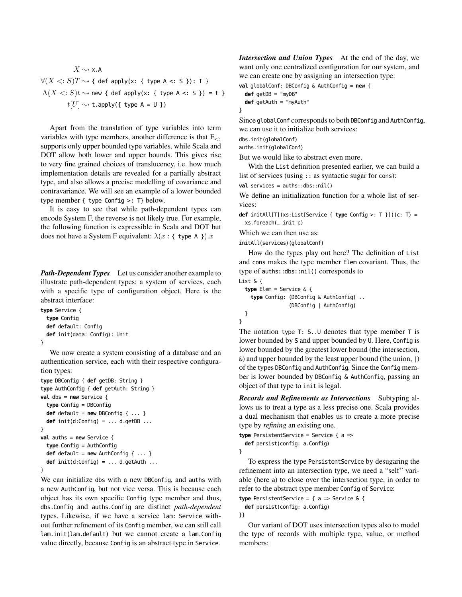$$
X \rightsquigarrow x.A
$$
  
\n
$$
\forall (X <: S)T \rightsquigarrow \{ \text{ def apply}(x: \{ \text{ type } A <: S \} ) : T \}
$$
  
\n
$$
\Lambda(X <: S)t \rightsquigarrow \text{new } \{ \text{ def apply}(x: \{ \text{ type } A <: S \} ) = t \}
$$
  
\n
$$
t[U] \rightsquigarrow \text{t.appendy}(\{ \text{ type } A = U \})
$$

Apart from the translation of type variables into term variables with type members, another difference is that  $F_{\leq}$ . supports only upper bounded type variables, while Scala and DOT allow both lower and upper bounds. This gives rise to very fine grained choices of translucency, i.e. how much implementation details are revealed for a partially abstract type, and also allows a precise modelling of covariance and contravariance. We will see an example of a lower bounded type member { type Config >: T} below.

It is easy to see that while path-dependent types can encode System F, the reverse is not likely true. For example, the following function is expressible in Scala and DOT but does not have a System F equivalent:  $\lambda(x : \{ \text{ type A } \})$ .x

*Path-Dependent Types* Let us consider another example to illustrate path-dependent types: a system of services, each with a specific type of configuration object. Here is the abstract interface:

```
type Service {
 type Config
 def default: Config
 def init(data: Config): Unit
}
```
We now create a system consisting of a database and an authentication service, each with their respective configuration types:

```
type DBConfig { def getDB: String }
type AuthConfig { def getAuth: String }
val dbs = new Service {
  type Config = DBConfig
  def default = new DBConfig \{ \ldots \}def init(d:Config) = ... d.getDB ...
}
val auths = new Service {
  type Config = AuthConfig
  def default = new AuthConfig \{ \ldots \}def init(d:Config) = ... d.getAuth ...
}
```
We can initialize dbs with a new DBConfig, and auths with a new AuthConfig, but not vice versa. This is because each object has its own specific Config type member and thus, dbs.Config and auths.Config are distinct *path-dependent* types. Likewise, if we have a service lam: Service without further refinement of its Config member, we can still call lam.init(lam.default) but we cannot create a lam.Config value directly, because Config is an abstract type in Service.

*Intersection and Union Types* At the end of the day, we want only one centralized configuration for our system, and we can create one by assigning an intersection type:

```
val globalConf: DBConfig & AuthConfig = new {
  def getDB = "myDB"
  def getAuth = "myAuth"
}
```
Since globalConf corresponds to both DBConfig and AuthConfig, we can use it to initialize both services:

```
dbs.init(globalConf)
```
auths.init(globalConf)

But we would like to abstract even more.

With the List definition presented earlier, we can build a list of services (using :: as syntactic sugar for cons):

**val** services = auths::dbs::nil()

We define an initialization function for a whole list of services:

**def** initAll[T](xs:List[Service { **type** Config >: T }])(c: T) = xs.foreach(\_ init c)

Which we can then use as:

initAll(services)(globalConf)

How do the types play out here? The definition of List and cons makes the type member Elem covariant. Thus, the type of auths::dbs::nil() corresponds to

```
List & {
  type Elem = Service & {
    type Config: (DBConfig & AuthConfig) ..
                 (DBConfig | AuthConfig)
 }
```

```
}
```
The notation type T: S..U denotes that type member T is lower bounded by S and upper bounded by U. Here, Config is lower bounded by the greatest lower bound (the intersection, &) and upper bounded by the least upper bound (the union, |) of the types DBConfig and AuthConfig. Since the Config member is lower bounded by DBConfig & AuthConfig, passing an object of that type to init is legal.

*Records and Refinements as Intersections* Subtyping allows us to treat a type as a less precise one. Scala provides a dual mechanism that enables us to create a more precise type by *refining* an existing one.

```
type PersistentService = Service { a =>
  def persist(config: a.Config)
}
```
To express the type PersistentService by desugaring the refinement into an intersection type, we need a "self" variable (here a) to close over the intersection type, in order to refer to the abstract type member Config of Service:

**type** PersistentService = { a => Service & { **def** persist(config: a.Config)

}}

Our variant of DOT uses intersection types also to model the type of records with multiple type, value, or method members: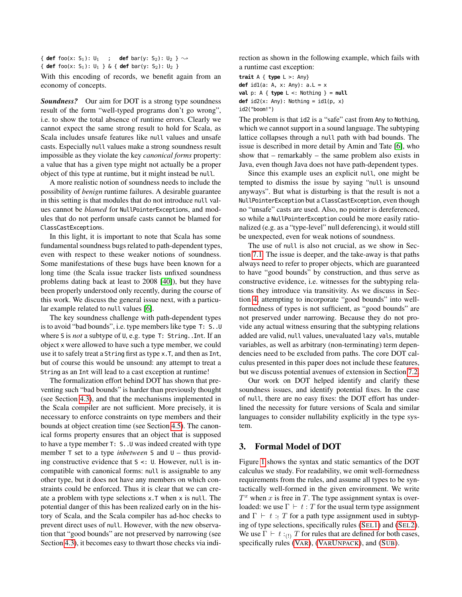{ **def** foo(x: S<sub>1</sub>): U<sub>1</sub> ; **def** bar(y: S<sub>2</sub>): U<sub>2</sub> }  $\sim$ { **def** foo(x: S1): U1 } & { **def** bar(y: S2): U2 }

With this encoding of records, we benefit again from an economy of concepts.

*Soundness?* Our aim for DOT is a strong type soundness result of the form "well-typed programs don't go wrong", i.e. to show the total absence of runtime errors. Clearly we cannot expect the same strong result to hold for Scala, as Scala includes unsafe features like null values and unsafe casts. Especially null values make a strong soundness result impossible as they violate the key *canonical forms* property: a value that has a given type might not actually be a proper object of this type at runtime, but it might instead be null.

A more realistic notion of soundness needs to include the possibility of *benign* runtime failures. A desirable guarantee in this setting is that modules that do not introduce null values cannot be *blamed* for NullPointerExceptions, and modules that do not perform unsafe casts cannot be blamed for ClassCastExceptions.

In this light, it is important to note that Scala has some fundamental soundness bugs related to path-dependent types, even with respect to these weaker notions of soundness. Some manifestations of these bugs have been known for a long time (the Scala issue tracker lists unfixed soundness problems dating back at least to 2008 [\[40\]](#page-15-7)), but they have been properly understood only recently, during the course of this work. We discuss the general issue next, with a particular example related to null values [\[6\]](#page-15-8).

The key soundness challenge with path-dependent types is to avoid "bad bounds", i.e. type members like type T: S..U where S is *not* a subtype of U, e.g. type T: String..Int. If an object x were allowed to have such a type member, we could use it to safely treat a String first as type x.T, and then as Int, but of course this would be unsound: any attempt to treat a String as an Int will lead to a cast exception at runtime!

The formalization effort behind DOT has shown that preventing such "bad bounds" is harder than previously thought (see Section [4.3\)](#page-7-1), and that the mechanisms implemented in the Scala compiler are not sufficient. More precisely, it is necessary to enforce constraints on type members and their bounds at object creation time (see Section [4.5\)](#page-7-2). The canonical forms property ensures that an object that is supposed to have a type member T: S..U was indeed created with type member T set to a type *inbetween* S and U – thus providing constructive evidence that S <: U. However, null is incompatible with canonical forms: null is assignable to any other type, but it does not have any members on which constraints could be enforced. Thus it is clear that we can create a problem with type selections x.T when x is null. The potential danger of this has been realized early on in the history of Scala, and the Scala compiler has ad-hoc checks to prevent direct uses of null. However, with the new observation that "good bounds" are not preserved by narrowing (see Section [4.3\)](#page-7-1), it becomes easy to thwart those checks via indirection as shown in the following example, which fails with a runtime cast exception:

**trait** A { **type** L >: Any} **def** id1(a: A, x: Any): a.L = x **val** p: A { **type** L <: Nothing } = **null def**  $id2(x: Any): Notining = id1(p, x)$ id2("boom!")

The problem is that id2 is a "safe" cast from Any to Nothing, which we cannot support in a sound language. The subtyping lattice collapses through a null path with bad bounds. The issue is described in more detail by Amin and Tate [\[6\]](#page-15-8), who show that – remarkably – the same problem also exists in Java, even though Java does not have path-dependent types.

Since this example uses an explicit null, one might be tempted to dismiss the issue by saying "null is unsound anyways". But what is disturbing is that the result is not a NullPointerException but a ClassCastException, even though no "unsafe" casts are used. Also, no pointer is dereferenced, so while a NullPointerException could be more easily rationalized (e.g. as a "type-level" null deferencing), it would still be unexpected, even for weak notions of soundness.

The use of null is also not crucial, as we show in Section [7.1.](#page-12-1) The issue is deeper, and the take-away is that paths always need to refer to proper objects, which are guaranteed to have "good bounds" by construction, and thus serve as constructive evidence, i.e. witnesses for the subtyping relations they introduce via transitivity. As we discuss in Section [4,](#page-5-0) attempting to incorporate "good bounds" into wellformedness of types is not sufficient, as "good bounds" are not preserved under narrowing. Because they do not provide any actual witness ensuring that the subtyping relations added are valid, null values, unevaluated lazy vals, mutable variables, as well as arbitrary (non-terminating) term dependencies need to be excluded from paths. The core DOT calculus presented in this paper does not include these features, but we discuss potential avenues of extension in Section [7.2.](#page-13-1)

Our work on DOT helped identify and clarify these soundness issues, and identify potential fixes. In the case of null, there are no easy fixes: the DOT effort has underlined the necessity for future versions of Scala and similar languages to consider nullability explicitly in the type system.

# <span id="page-3-0"></span>3. Formal Model of DOT

Figure [1](#page-4-0) shows the syntax and static semantics of the DOT calculus we study. For readability, we omit well-formedness requirements from the rules, and assume all types to be syntactically well-formed in the given environment. We write  $T^x$  when x is free in T. The type assignment syntax is overloaded: we use  $\Gamma \vdash t : T$  for the usual term type assignment and  $\Gamma \vdash t : T$  for a path type assignment used in subtyping of type selections, specifically rules (S[EL](#page-4-1)1) and (S[EL](#page-4-2)2). We use  $\Gamma \vdash t :_{(1)} T$  for rules that are defined for both cases, specifically rules (V[AR](#page-4-3)), (VARU[NPACK](#page-4-4)), and (S[UB](#page-4-5)).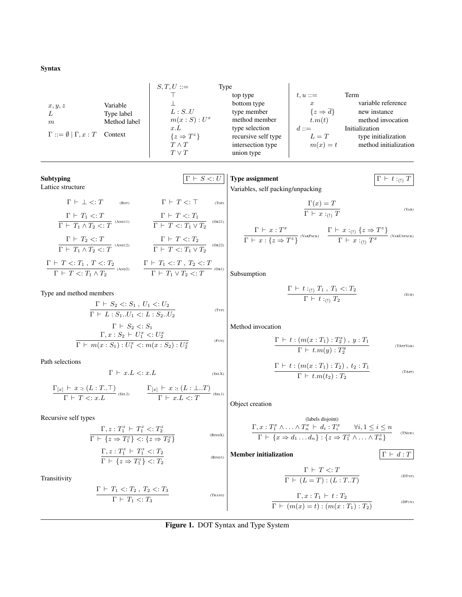Syntax

|                                        |              | $S,T,U ::=$                    | Type                                  |                       |                                       |
|----------------------------------------|--------------|--------------------------------|---------------------------------------|-----------------------|---------------------------------------|
|                                        |              |                                | top type                              | $t, u ::=$            | Term                                  |
| x, y, z                                | Variable     |                                | bottom type                           | $\boldsymbol{x}$      | variable reference                    |
| L                                      | Type label   | L : S.U                        | type member                           | $\{z \Rightarrow d\}$ | new instance                          |
| m                                      | Method label | $m(x : S) : U^x$               | method member                         | t.m(t)                | method invocation                     |
| $\Gamma ::= \emptyset   \Gamma, x : T$ | Context      | x.L<br>$\{z \Rightarrow T^z\}$ | type selection<br>recursive self type | $d ::=$<br>$L=T$      | Initialization<br>type initialization |
|                                        |              | $T \wedge T$                   | intersection type                     | $m(x) = t$            | method initialization                 |
|                                        |              | $T \vee T$                     | union type                            |                       |                                       |

| Subtyping         | $\boxed{\Gamma + S <: U$                                                                                                                                                                                                                                                                                                                                                                                                                                                                                                                                                                                                                                                                                                                                                                                                                                                                                                                              |
|-------------------|-------------------------------------------------------------------------------------------------------------------------------------------------------------------------------------------------------------------------------------------------------------------------------------------------------------------------------------------------------------------------------------------------------------------------------------------------------------------------------------------------------------------------------------------------------------------------------------------------------------------------------------------------------------------------------------------------------------------------------------------------------------------------------------------------------------------------------------------------------------------------------------------------------------------------------------------------------|
| Lattice structure | \n $\Gamma + \bot <: T$ \n $\Gamma + T <: T$ \n $\Gamma + T_1 <: T$ \n $\Gamma + T_1 \wedge T_2 <: T$ \n $\Gamma + T_1 \wedge T_2 <: T$ \n $\Gamma + T_1 \wedge T_2 <: T$ \n $\Gamma + T_1 \wedge T_2 <: T$ \n $\Gamma + T_1 \wedge T_2 <: T$ \n $\Gamma + T_1 \wedge T_2 <: T$ \n $\Gamma + T_1 \wedge T_2 <: T$ \n $\Gamma + T_1 \wedge T_2 <: T$ \n $\Gamma + T_1 \wedge T_2 <: T$ \n $\Gamma + T_1 \wedge T_2 <: T$ \n $\Gamma + T_1 \wedge T_2 <: T$ \n $\Gamma + T_1 \wedge T_2 <: T$ \n $\Gamma + T_1 \wedge T_2 <: T$ \n $\Gamma + T_1 \wedge T_2 <: T$ \n $\Gamma + T_1 \wedge T_2 <: T$ \n $\Gamma + T_1 \wedge T_2 <: T$ \n $\Gamma + T_1 \wedge T_2 <: T$ \n $\Gamma + T_1 \wedge T_2 <: T$ \n $\Gamma + T_1 \wedge T_2 <: T$ \n $\Gamma + T_1 \wedge T_2 <: T$ \n $\Gamma + T_1 \wedge T_2 <: T$ \n $\Gamma + T_1 \wedge T_2 <: T$ \n $\Gamma + T_1 \wedge T_2 <: T$ \n $\Gamma + T_1 \wedge T_2 <: T$ \n $\Gamma + T_1 \wedge T_2 <: T$ |

Transitivity

$$
\frac{\Gamma \vdash T_1 <: T_2 \,,\, T_2 <: T_3}{\Gamma \vdash T_1 <: T_3}
$$

<span id="page-4-2"></span> $\Gamma \vdash \{z \Rightarrow T_1^z\} \lt: T_2$ 

<span id="page-4-13"></span><span id="page-4-10"></span><span id="page-4-9"></span><span id="page-4-8"></span> $\Gamma \vdash T <: T$  $\Gamma \vdash (L = T) : (L : T..T)$ 

 $\Gamma, x : T_1 \vdash t : T_2$  $\Gamma \vdash (m(x) = t) : (m(x : T_1) : T_2)$  <span id="page-4-15"></span><span id="page-4-7"></span><span id="page-4-6"></span><span id="page-4-5"></span><span id="page-4-4"></span><span id="page-4-3"></span>(DTYP)

(DFUN)

<span id="page-4-14"></span><span id="page-4-12"></span><span id="page-4-11"></span><span id="page-4-1"></span><span id="page-4-0"></span>(TRANS)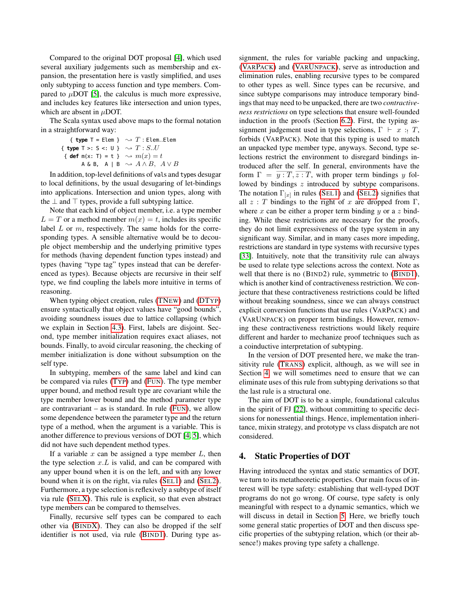Compared to the original DOT proposal [\[4\]](#page-15-1), which used several auxiliary judgements such as membership and expansion, the presentation here is vastly simplified, and uses only subtyping to access function and type members. Compared to  $\mu$ DOT [\[5\]](#page-15-2), the calculus is much more expressive, and includes key features like intersection and union types, which are absent in  $\mu$ DOT.

The Scala syntax used above maps to the formal notation in a straightforward way:

{ type T = Elem } 
$$
\sim T
$$
: Elem.  
\n{ type T >: S < : U }  $\sim T$ : S..U  
\n{ def m(x: T) = t }  $\sim m(x) = t$   
\n $A \& B, A \mid B \sim A \land B, A \lor B$ 

In addition, top-level definitions of vals and types desugar to local definitions, by the usual desugaring of let-bindings into applications. Intersection and union types, along with the  $\perp$  and  $\top$  types, provide a full subtyping lattice.

Note that each kind of object member, i.e. a type member  $L = T$  or a method member  $m(x) = t$ , includes its specific label  $L$  or  $m$ , respectively. The same holds for the corresponding types. A sensible alternative would be to decouple object membership and the underlying primitive types for methods (having dependent function types instead) and types (having "type tag" types instead that can be dereferenced as types). Because objects are recursive in their self type, we find coupling the labels more intuitive in terms of reasoning.

When typing object creation, rules [\(TN](#page-4-6)EW) and [\(DT](#page-4-7)YP) ensure syntactically that object values have "good bounds", avoiding soundness issues due to lattice collapsing (which we explain in Section [4.3\)](#page-7-1). First, labels are disjoint. Second, type member initialization requires exact aliases, not bounds. Finally, to avoid circular reasoning, the checking of member initialization is done without subsumption on the self type.

In subtyping, members of the same label and kind can be compared via rules (T[YP](#page-4-8)) and (F[UN](#page-4-9)). The type member upper bound, and method result type are covariant while the type member lower bound and the method parameter type are contravariant – as is standard. In rule  $(FUN)$  $(FUN)$  $(FUN)$ , we allow some dependence between the parameter type and the return type of a method, when the argument is a variable. This is another difference to previous versions of DOT [\[4,](#page-15-1) [5\]](#page-15-2), which did not have such dependent method types.

If a variable x can be assigned a type member  $L$ , then the type selection  $x.L$  is valid, and can be compared with any upper bound when it is on the left, and with any lower bound when it is on the right, via rules (S[EL](#page-4-1)1) and (S[EL](#page-4-2)2). Furthermore, a type selection is reflexively a subtype of itself via rule (SEL[X\)](#page-4-10). This rule is explicit, so that even abstract type members can be compared to themselves.

Finally, recursive self types can be compared to each other via (B[IND](#page-4-11)X). They can also be dropped if the self identifier is not used, via rule (B[IND](#page-4-12)1). During type as-

signment, the rules for variable packing and unpacking, (VARP[ACK](#page-4-13)) and (VARU[NPACK](#page-4-4)), serve as introduction and elimination rules, enabling recursive types to be compared to other types as well. Since types can be recursive, and since subtype comparisons may introduce temporary bindings that may need to be unpacked, there are two *contractiveness restrictions* on type selections that ensure well-founded induction in the proofs (Section [6.2\)](#page-9-0). First, the typing assignment judgement used in type selections,  $\Gamma \vdash x : T$ , forbids (VARPACK). Note that this typing is used to match an unpacked type member type, anyways. Second, type selections restrict the environment to disregard bindings introduced after the self. In general, environments have the form  $\Gamma = y : T, z : T$ , with proper term bindings y followed by bindings z introduced by subtype comparisons. The notation  $\Gamma_{[x]}$  in rules (S[EL](#page-4-2)1) and (SEL2) signifies that all  $z : T$  bindings to the right of x are dropped from  $\Gamma$ , where x can be either a proper term binding y or a z binding. While these restrictions are necessary for the proofs, they do not limit expressiveness of the type system in any significant way. Similar, and in many cases more impeding, restrictions are standard in type systems with recursive types [\[33\]](#page-15-9). Intuitively, note that the transitivity rule can always be used to relate type selections across the context. Note as well that there is no (B[IND](#page-4-12)2) rule, symmetric to (BIND1), which is another kind of contractiveness restriction. We conjecture that these contractiveness restrictions could be lifted without breaking soundness, since we can always construct explicit conversion functions that use rules (VARPACK) and (VARUNPACK) on proper term bindings. However, removing these contractiveness restrictions would likely require different and harder to mechanize proof techniques such as a coinductive interpretation of subtyping.

In the version of DOT presented here, we make the transitivity rule (T[RANS](#page-4-14)) explicit, although, as we will see in Section [4,](#page-5-0) we will sometimes need to ensure that we can eliminate uses of this rule from subtyping derivations so that the last rule is a structural one.

The aim of DOT is to be a simple, foundational calculus in the spirit of FJ [\[22\]](#page-15-10), without committing to specific decisions for nonessential things. Hence, implementation inheritance, mixin strategy, and prototype vs class dispatch are not considered.

# <span id="page-5-0"></span>4. Static Properties of DOT

Having introduced the syntax and static semantics of DOT, we turn to its metatheoretic properties. Our main focus of interest will be type safety: establishing that well-typed DOT programs do not go wrong. Of course, type safety is only meaningful with respect to a dynamic semantics, which we will discuss in detail in Section [5.](#page-7-0) Here, we briefly touch some general static properties of DOT and then discuss specific properties of the subtyping relation, which (or their absence!) makes proving type safety a challenge.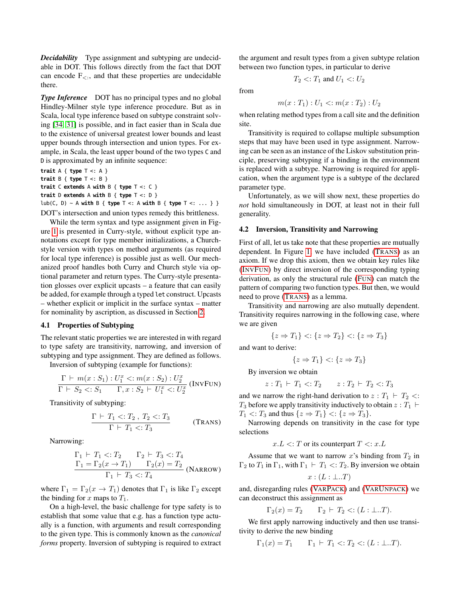*Decidability* Type assignment and subtyping are undecidable in DOT. This follows directly from the fact that DOT can encode  $F_{\leq}$ , and that these properties are undecidable there.

*Type Inference* DOT has no principal types and no global Hindley-Milner style type inference procedure. But as in Scala, local type inference based on subtype constraint solving [\[34,](#page-15-11) [31\]](#page-15-12) is possible, and in fact easier than in Scala due to the existence of universal greatest lower bounds and least upper bounds through intersection and union types. For example, in Scala, the least upper bound of the two types C and D is approximated by an infinite sequence:

**trait** A { **type** T <: A } **trait** B { **type** T <: B } **trait** C **extends** A **with** B { **type** T <: C } **trait** D **extends** A **with** B { **type** T <: D } lub(C, D) ~ A **with** B { **type** T <: A **with** B { **type** T <: ... } } DOT's intersection and union types remedy this brittleness.

While the term syntax and type assignment given in Figure [1](#page-4-0) is presented in Curry-style, without explicit type annotations except for type member initializations, a Churchstyle version with types on method arguments (as required for local type inference) is possible just as well. Our mechanized proof handles both Curry and Church style via optional parameter and return types. The Curry-style presentation glosses over explicit upcasts – a feature that can easily be added, for example through a typed let construct. Upcasts – whether explicit or implicit in the surface syntax – matter for nominality by ascription, as discussed in Section [2.](#page-0-0)

## 4.1 Properties of Subtyping

The relevant static properties we are interested in with regard to type safety are transitivity, narrowing, and inversion of subtyping and type assignment. They are defined as follows.

Inversion of subtyping (example for functions):

$$
\frac{\Gamma \vdash m(x : S_1) : U_1^x <: m(x : S_2) : U_2^x}{\Gamma \vdash S_2 <: S_1 \quad \Gamma, x : S_2 \vdash U_1^x <: U_2^x} \text{ (INV}\text{Fun}
$$

Transitivity of subtyping:

$$
\frac{\Gamma \vdash T_1 <: T_2 \cdot T_2 <: T_3}{\Gamma \vdash T_1 <: T_3} \tag{Trans}
$$

Narrowing:

$$
\frac{\Gamma_1 \vdash T_1 <: T_2 \qquad \Gamma_2 \vdash T_3 <: T_4}{\Gamma_1 = \Gamma_2(x \to T_1) \qquad \Gamma_2(x) = T_2}
$$
\n
$$
\frac{\Gamma_1 \vdash T_3 <: T_4}{\Gamma_1 \vdash T_3 <: T_4} \text{ (NARROW)}
$$

where  $\Gamma_1 = \Gamma_2(x \to T_1)$  denotes that  $\Gamma_1$  is like  $\Gamma_2$  except the binding for x maps to  $T_1$ .

On a high-level, the basic challenge for type safety is to establish that some value that e.g. has a function type actually is a function, with arguments and result corresponding to the given type. This is commonly known as the *canonical forms* property. Inversion of subtyping is required to extract

the argument and result types from a given subtype relation between two function types, in particular to derive

 $T_2 < T_1$  and  $U_1 < U_2$ 

from

$$
m(x: T_1): U_1 \le m(x: T_2): U_2
$$

when relating method types from a call site and the definition site.

Transitivity is required to collapse multiple subsumption steps that may have been used in type assignment. Narrowing can be seen as an instance of the Liskov substitution principle, preserving subtyping if a binding in the environment is replaced with a subtype. Narrowing is required for application, when the argument type is a subtype of the declared parameter type.

Unfortunately, as we will show next, these properties do *not* hold simultaneously in DOT, at least not in their full generality.

#### 4.2 Inversion, Transitivity and Narrowing

First of all, let us take note that these properties are mutually dependent. In Figure [1,](#page-4-0) we have included (T[RANS](#page-4-14)) as an axiom. If we drop this axiom, then we obtain key rules like (I[NV](#page-6-0)FUN) by direct inversion of the corresponding typing derivation, as only the structural rule (F[UN](#page-4-9)) can match the pattern of comparing two function types. But then, we would need to prove (T[RANS](#page-4-14)) as a lemma.

Transitivity and narrowing are also mutually dependent. Transitivity requires narrowing in the following case, where we are given

$$
\{z \Rightarrow T_1\} \langle z \Rightarrow T_2\} \langle z \Rightarrow T_3\}
$$

and want to derive:

$$
\{z \Rightarrow T_1\} < : \{z \Rightarrow T_3\}
$$

By inversion we obtain

$$
z: T_1 \vdash T_1 \leq T_2 \qquad z: T_2 \vdash T_2 \leq T_3
$$

<span id="page-6-0"></span>and we narrow the right-hand derivation to  $z : T_1 \vdash T_2 \leq$ :  $T_3$  before we apply transitivity inductively to obtain  $z : T_1 \vdash$  $T_1$  <:  $T_3$  and thus  $\{z \Rightarrow T_1\}$  <:  $\{z \Rightarrow T_3\}$ .

Narrowing depends on transitivity in the case for type selections

 $x.L \leq T$  or its counterpart  $T \leq x.L$ 

Assume that we want to narrow  $x$ 's binding from  $T_2$  in  $\Gamma_2$  to  $T_1$  in  $\Gamma_1$ , with  $\Gamma_1 \vdash T_1 \prec T_2$ . By inversion we obtain  $x : (L : \bot . . T)$ 

and, disregarding rules (VARP[ACK](#page-4-13)) and (VARU[NPACK](#page-4-4)) we can deconstruct this assignment as

$$
\Gamma_2(x) = T_2 \qquad \Gamma_2 \vdash T_2 <: (L : \bot \ldots T).
$$

We first apply narrowing inductively and then use transitivity to derive the new binding

$$
\Gamma_1(x) = T_1
$$
  $\Gamma_1 \vdash T_1 \langle T_2 \langle T_2 \rangle : (L : \bot..T).$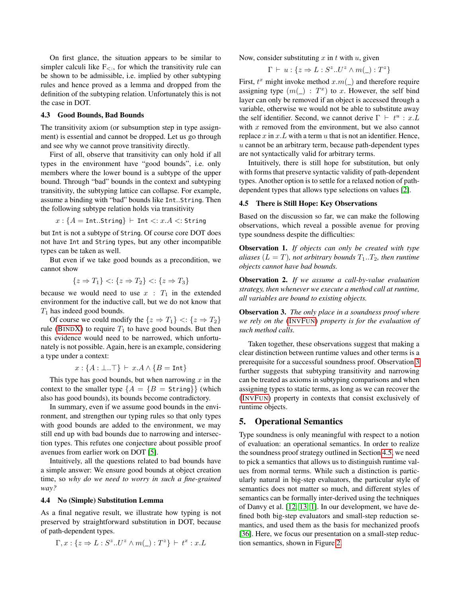On first glance, the situation appears to be similar to simpler calculi like  $F_{\leq}$ , for which the transitivity rule can be shown to be admissible, i.e. implied by other subtyping rules and hence proved as a lemma and dropped from the definition of the subtyping relation. Unfortunately this is not the case in DOT.

#### <span id="page-7-1"></span>4.3 Good Bounds, Bad Bounds

The transitivity axiom (or subsumption step in type assignment) is essential and cannot be dropped. Let us go through and see why we cannot prove transitivity directly.

First of all, observe that transitivity can only hold if all types in the environment have "good bounds", i.e. only members where the lower bound is a subtype of the upper bound. Through "bad" bounds in the context and subtyping transitivity, the subtyping lattice can collapse. For example, assume a binding with "bad" bounds like Int..String. Then the following subtype relation holds via transitivity

$$
x: \{A = \text{Int.String}\} \vdash \text{Int} <: x.A <: \text{String}
$$

but Int is not a subtype of String. Of course core DOT does not have Int and String types, but any other incompatible types can be taken as well.

But even if we take good bounds as a precondition, we cannot show

$$
\{z \Rightarrow T_1\} < : \{z \Rightarrow T_2\} < : \{z \Rightarrow T_3\}
$$

because we would need to use  $x : T_1$  in the extended environment for the inductive call, but we do not know that  $T_1$  has indeed good bounds.

Of course we could modify the  $\{z \Rightarrow T_1\} \langle z \Rightarrow T_2\}$ rule (B[IND](#page-4-11)X) to require  $T_1$  to have good bounds. But then this evidence would need to be narrowed, which unfortunately is not possible. Again, here is an example, considering a type under a context:

 $x: \{A: \bot..\top\} \vdash x.A \wedge \{B = \text{Int}\}\$ 

This type has good bounds, but when narrowing  $x$  in the context to the smaller type  ${A = \{B = \text{String}\}}$  (which also has good bounds), its bounds become contradictory.

In summary, even if we assume good bounds in the environment, and strengthen our typing rules so that only types with good bounds are added to the environment, we may still end up with bad bounds due to narrowing and intersection types. This refutes one conjecture about possible proof avenues from earlier work on DOT [\[5\]](#page-15-2).

Intuitively, all the questions related to bad bounds have a simple answer: We ensure good bounds at object creation time, so *why do we need to worry in such a fine-grained way?*

#### 4.4 No (Simple) Substitution Lemma

As a final negative result, we illustrate how typing is not preserved by straightforward substitution in DOT, because of path-dependent types.

$$
\Gamma, x: \{z \Rightarrow L: S^z \cdot U^z \wedge m(\_): T^z\} \vdash t^x : x.L
$$

Now, consider substituting  $x$  in  $t$  with  $u$ , given

$$
\Gamma \vdash u : \{ z \Rightarrow L : S^z . U^z \wedge m(\_) : T^z \}
$$

First,  $t^x$  might invoke method  $x.m(\_)$  and therefore require assigning type  $(m(\_): T^x)$  to x. However, the self bind layer can only be removed if an object is accessed through a variable, otherwise we would not be able to substitute away the self identifier. Second, we cannot derive  $\Gamma \vdash t^u : x.L$ with  $x$  removed from the environment, but we also cannot replace  $x$  in  $x$ .  $L$  with a term  $u$  that is not an identifier. Hence,  $u$  cannot be an arbitrary term, because path-dependent types are not syntactically valid for arbitrary terms.

Intuitively, there is still hope for substitution, but only with forms that preserve syntactic validity of path-dependent types. Another option is to settle for a relaxed notion of pathdependent types that allows type selections on values [\[2\]](#page-15-13).

#### <span id="page-7-2"></span>4.5 There is Still Hope: Key Observations

Based on the discussion so far, we can make the following observations, which reveal a possible avenue for proving type soundness despite the difficulties:

Observation 1. *If objects can only be created with type aliases*  $(L = T)$ *, not arbitrary bounds*  $T_1 \cdot T_2$ *, then runtime objects cannot have bad bounds.*

Observation 2. *If we assume a call-by-value evaluation strategy, then whenever we execute a method call at runtime, all variables are bound to existing objects.*

<span id="page-7-3"></span>Observation 3. *The only place in a soundness proof where we rely on the* (I[NV](#page-6-0)FUN) *property is for the evaluation of such method calls.*

Taken together, these observations suggest that making a clear distinction between runtime values and other terms is a prerequisite for a successful soundness proof. Observation [3](#page-7-3) further suggests that subtyping transitivity and narrowing can be treated as axioms in subtyping comparisons and when assigning types to static terms, as long as we can recover the (I[NV](#page-6-0)FUN) property in contexts that consist exclusively of runtime objects.

# <span id="page-7-0"></span>5. Operational Semantics

Type soundness is only meaningful with respect to a notion of evaluation: an operational semantics. In order to realize the soundness proof strategy outlined in Section [4.5,](#page-7-2) we need to pick a semantics that allows us to distinguish runtime values from normal terms. While such a distinction is particularly natural in big-step evaluators, the particular style of semantics does not matter so much, and different styles of semantics can be formally inter-derived using the techniques of Danvy et al. [\[12,](#page-15-14) [13,](#page-15-15) [1\]](#page-15-16). In our development, we have defined both big-step evaluators and small-step reduction semantics, and used them as the basis for mechanized proofs [\[36\]](#page-15-17). Here, we focus our presentation on a small-step reduction semantics, shown in Figure [2.](#page-8-1)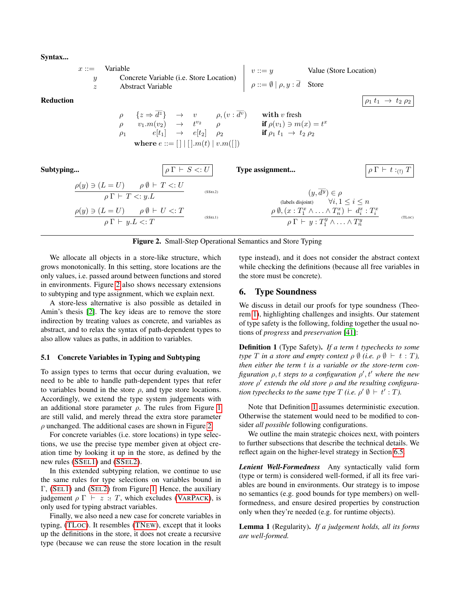Syntax...



# <span id="page-8-1"></span>Figure 2. Small-Step Operational Semantics and Store Typing

We allocate all objects in a store-like structure, which grows monotonically. In this setting, store locations are the only values, i.e. passed around between functions and stored in environments. Figure [2](#page-8-1) also shows necessary extensions to subtyping and type assignment, which we explain next.

A store-less alternative is also possible as detailed in Amin's thesis [\[2\]](#page-15-13). The key ideas are to remove the store indirection by treating values as concrete, and variables as abstract, and to relax the syntax of path-dependent types to also allow values as paths, in addition to variables.

# 5.1 Concrete Variables in Typing and Subtyping

To assign types to terms that occur during evaluation, we need to be able to handle path-dependent types that refer to variables bound in the store  $\rho$ , and type store locations. Accordingly, we extend the type system judgements with an additional store parameter  $\rho$ . The rules from Figure [1](#page-4-0) are still valid, and merely thread the extra store parameter  $\rho$  unchanged. The additional cases are shown in Figure [2.](#page-8-1)

For concrete variables (i.e. store locations) in type selections, we use the precise type member given at object creation time by looking it up in the store, as defined by the new rules [\(SS](#page-8-2)EL1) and [\(SS](#page-8-3)EL2).

In this extended subtyping relation, we continue to use the same rules for type selections on variables bound in Γ, (S[EL](#page-4-1)1) and (S[EL](#page-4-2)2) from Figure [1.](#page-4-0) Hence, the auxiliary judgement  $\rho \Gamma \vdash z : T$ , which excludes (VARP[ACK](#page-4-13)), is only used for typing abstract variables.

Finally, we also need a new case for concrete variables in typing, [\(TL](#page-8-4)OC). It resembles [\(TN](#page-4-6)EW), except that it looks up the definitions in the store, it does not create a recursive type (because we can reuse the store location in the result

<span id="page-8-4"></span><span id="page-8-3"></span><span id="page-8-2"></span>type instead), and it does not consider the abstract context while checking the definitions (because all free variables in the store must be concrete).

# <span id="page-8-0"></span>6. Type Soundness

We discuss in detail our proofs for type soundness (Theorem [1\)](#page-11-0), highlighting challenges and insights. Our statement of type safety is the following, folding together the usual notions of *progress* and *preservation* [\[41\]](#page-15-18):

<span id="page-8-5"></span>Definition 1 (Type Safety). *If a term* t *typechecks to some type T in a store and empty context*  $\rho \emptyset$  *(i.e.*  $\rho \emptyset \vdash t : T$ *), then either the term* t *is a variable or the store-term con*figuration  $\rho$ , t steps to a configuration  $\rho'$ , t<sup> $\prime$ </sup> where the new *store*  $ρ'$  *extends the old store*  $ρ$  *and the resulting configuration typechecks to the same type*  $T$  *(i.e.*  $\rho' \emptyset \vdash t' : T$ ).

Note that Definition [1](#page-8-5) assumes deterministic execution. Otherwise the statement would need to be modified to consider *all possible* following configurations.

We outline the main strategic choices next, with pointers to further subsections that describe the technical details. We reflect again on the higher-level strategy in Section [6.5.](#page-11-1)

*Lenient Well-Formedness* Any syntactically valid form (type or term) is considered well-formed, if all its free variables are bound in environments. Our strategy is to impose no semantics (e.g. good bounds for type members) on wellformedness, and ensure desired properties by construction only when they're needed (e.g. for runtime objects).

<span id="page-8-7"></span><span id="page-8-6"></span>Lemma 1 (Regularity). *If a judgement holds, all its forms are well-formed.*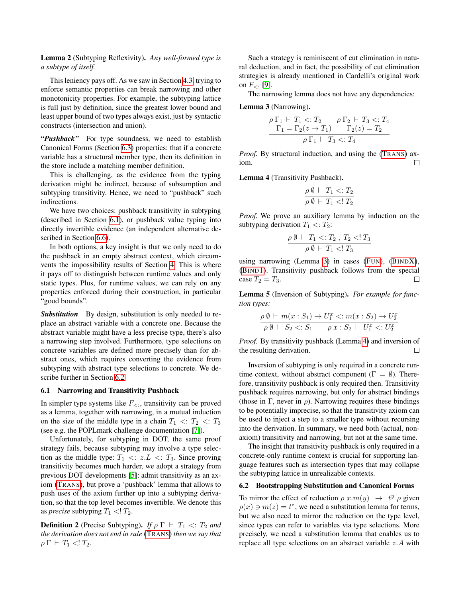Lemma 2 (Subtyping Reflexivity). *Any well-formed type is a subtype of itself.*

This leniency pays off. As we saw in Section [4.3,](#page-7-1) trying to enforce semantic properties can break narrowing and other monotonicity properties. For example, the subtyping lattice is full just by definition, since the greatest lower bound and least upper bound of two types always exist, just by syntactic constructs (intersection and union).

*"Pushback"* For type soundness, we need to establish Canonical Forms (Section [6.3\)](#page-10-0) properties: that if a concrete variable has a structural member type, then its definition in the store include a matching member definition.

This is challenging, as the evidence from the typing derivation might be indirect, because of subsumption and subtyping transitivity. Hence, we need to "pushback" such indirections.

We have two choices: pushback transitivity in subtyping (described in Section [6.1\)](#page-9-1), or pushback value typing into directly invertible evidence (an independent alternative described in Section [6.6\)](#page-11-2).

In both options, a key insight is that we only need to do the pushback in an empty abstract context, which circumvents the impossibility results of Section [4.](#page-5-0) This is where it pays off to distinguish between runtime values and only static types. Plus, for runtime values, we can rely on any properties enforced during their construction, in particular "good bounds".

*Substitution* By design, substitution is only needed to replace an abstract variable with a concrete one. Because the abstract variable might have a less precise type, there's also a narrowing step involved. Furthermore, type selections on concrete variables are defined more precisely than for abstract ones, which requires converting the evidence from subtyping with abstract type selections to concrete. We describe further in Section [6.2](#page-9-0)

#### <span id="page-9-1"></span>6.1 Narrowing and Transitivity Pushback

In simpler type systems like  $F_{\leq}$ , transitivity can be proved as a lemma, together with narrowing, in a mutual induction on the size of the middle type in a chain  $T_1 \leq T_2 \leq T_3$ (see e.g. the POPLmark challenge documentation [\[7\]](#page-15-19)).

Unfortunately, for subtyping in DOT, the same proof strategy fails, because subtyping may involve a type selection as the middle type:  $T_1 \leq z.L \leq T_3$ . Since proving transitivity becomes much harder, we adopt a strategy from previous DOT developments [\[5\]](#page-15-2): admit transitivity as an axiom (T[RANS](#page-4-14)), but prove a 'pushback' lemma that allows to push uses of the axiom further up into a subtyping derivation, so that the top level becomes invertible. We denote this as *precise* subtyping  $T_1$  <!  $T_2$ .

<span id="page-9-5"></span>**Definition 2** (Precise Subtyping). *If*  $\rho \Gamma \vdash T_1 \lt T_2$  *and the derivation does not end in rule* (T[RANS](#page-4-14)) *then we say that*  $\rho \Gamma \vdash T_1 \ll T_2.$ 

Such a strategy is reminiscent of cut elimination in natural deduction, and in fact, the possibility of cut elimination strategies is already mentioned in Cardelli's original work on  $F_{\leq 1}$  [\[9\]](#page-15-6).

The narrowing lemma does not have any dependencies:

<span id="page-9-2"></span>Lemma 3 (Narrowing).

$$
\rho \Gamma_1 \vdash T_1 <: T_2 \quad \rho \Gamma_2 \vdash T_3 <: T_4 \\
\Gamma_1 = \Gamma_2(z \to T_1) \quad \Gamma_2(z) = T_2 \\
\hline\n\rho \Gamma_1 \vdash T_3 <: T_4
$$

*Proof.* By structural induction, and using the (T[RANS](#page-4-14)) axiom.  $\Box$ 

<span id="page-9-3"></span>Lemma 4 (Transitivity Pushback).

$$
\frac{\rho \emptyset \vdash T_1 <: T_2}{\rho \emptyset \vdash T_1 <: T_2}
$$

*Proof.* We prove an auxiliary lemma by induction on the subtyping derivation  $T_1 \ll T_2$ :

$$
\frac{\rho\,\emptyset\,\vdash\,T_1\,\lt;\,:T_2\,\,,\,T_2\,\lt;\,:T_3}{\rho\,\emptyset\,\vdash\,T_1\,\lt;\,:T_3}
$$

using narrowing (Lemma [3\)](#page-9-2) in cases (F[UN](#page-4-9)), (B[IND](#page-4-11)X), (B[IND](#page-4-12)1). Transitivity pushback follows from the special case  $T_2 = T_3$ .  $\Box$ 

<span id="page-9-4"></span>Lemma 5 (Inversion of Subtyping). *For example for function types:*

$$
\frac{\rho \emptyset \vdash m(x : S_1) \to U_1^x \lt; : m(x : S_2) \to U_2^x}{\rho \emptyset \vdash S_2 \lt; : S_1 \quad \rho x : S_2 \vdash U_1^x \lt; : U_2^x}
$$

*Proof.* By transitivity pushback (Lemma [4\)](#page-9-3) and inversion of the resulting derivation.  $\Box$ 

Inversion of subtyping is only required in a concrete runtime context, without abstract component ( $\Gamma = \emptyset$ ). Therefore, transitivity pushback is only required then. Transitivity pushback requires narrowing, but only for abstract bindings (those in Γ, never in  $\rho$ ). Narrowing requires these bindings to be potentially imprecise, so that the transitivity axiom can be used to inject a step to a smaller type without recursing into the derivation. In summary, we need both (actual, nonaxiom) transitivity and narrowing, but not at the same time.

The insight that transitivity pushback is only required in a concrete-only runtime context is crucial for supporting language features such as intersection types that may collapse the subtyping lattice in unrealizable contexts.

#### <span id="page-9-0"></span>6.2 Bootstrapping Substitution and Canonical Forms

To mirror the effect of reduction  $\rho x.m(y) \rightarrow t^y \rho$  given  $\rho(x) \ni m(z) = t^z$ , we need a substitution lemma for terms, but we also need to mirror the reduction on the type level, since types can refer to variables via type selections. More precisely, we need a substitution lemma that enables us to replace all type selections on an abstract variable z.A with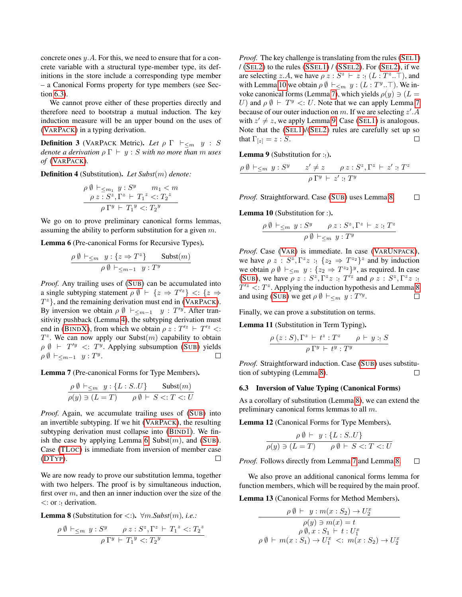concrete ones y.A. For this, we need to ensure that for a concrete variable with a structural type-member type, its definitions in the store include a corresponding type member – a Canonical Forms property for type members (see Section [6.3\)](#page-10-0).

We cannot prove either of these properties directly and therefore need to bootstrap a mutual induction. The key induction measure will be an upper bound on the uses of (VARP[ACK](#page-4-13)) in a typing derivation.

<span id="page-10-8"></span>**Definition 3** (VARPACK Metric). Let  $\rho \Gamma \vdash_{\leq m} y : S$ *denote a derivation*  $\rho \Gamma \vdash y : S$  *with no more than m uses of* (VARP[ACK](#page-4-13))*.*

<span id="page-10-9"></span>Definition 4 (Substitution). *Let Subst*(m) *denote:*

$$
\rho \emptyset \vdash_{\leq m_1} y : S^y \qquad m_1 < m
$$
\n
$$
\rho z : S^z, \Gamma^z \vdash T_1^z <: T_2^z
$$
\n
$$
\rho \Gamma^y \vdash T_1^y <: T_2^y
$$

We go on to prove preliminary canonical forms lemmas, assuming the ability to perform substitution for a given m.

<span id="page-10-1"></span>Lemma 6 (Pre-canonical Forms for Recursive Types).

$$
\frac{\rho \emptyset \vdash_{\leq m} y : \{z \Rightarrow T^z\} \qquad \text{Subst}(m)}{\rho \emptyset \vdash_{\leq m-1} y : T^y}
$$

*Proof.* Any trailing uses of (S[UB](#page-4-5)) can be accumulated into a single subtyping statement  $\rho \emptyset \vdash \{z \Rightarrow T'^{z}\} \leq \{z \Rightarrow$  $T^{z}$ , and the remaining derivation must end in (VARP[ACK](#page-4-13)). By inversion we obtain  $\rho \emptyset \vdash_{\leq m-1} y : T'^y$ . After transitivity pushback (Lemma [4\)](#page-9-3), the subtyping derivation must end in (B[IND](#page-4-11)X), from which we obtain  $\rho z : T^2 \vdash T^2 \leq$ :  $T^z$ . We can now apply our Subst $(m)$  capability to obtain  $\rho \emptyset$   $\vdash$   $T'y$   $\lt:$ :  $T^y$ . Applying subsumption (S[UB](#page-4-5)) yields  $\rho \emptyset \vdash_{\leq m-1} y : T^y.$  $\Box$ 

<span id="page-10-3"></span>Lemma 7 (Pre-canonical Forms for Type Members).

$$
\frac{\rho \emptyset \vdash_{\leq m} y : \{L : S. U\}}{\rho(y) \ni (L = T)} \quad \frac{\text{Subst}(m)}{\rho \emptyset \vdash S \lt;: T \lt;: U}
$$

*Proof.* Again, we accumulate trailing uses of (S[UB](#page-4-5)) into an invertible subtyping. If we hit (VARP[ACK](#page-4-13)), the resulting subtyping derivation must collapse into (B[IND](#page-4-12)1). We fin-ish the case by applying Lemma [6,](#page-10-1)  $\text{Subst}(m)$ , and  $(\text{SUB})$  $(\text{SUB})$  $(\text{SUB})$ . Case [\(TL](#page-8-4)OC) is immediate from inversion of member case [\(DT](#page-4-7)YP).  $\Box$ 

We are now ready to prove our substitution lemma, together with two helpers. The proof is by simultaneous induction, first over  $m$ , and then an inner induction over the size of the  $\lt$ : or : derivation.

<span id="page-10-5"></span>**Lemma 8** (Substitution for  $\lt$ :).  $\forall m \text{.} Subst(m), i.e.,$ 

$$
\frac{\rho \emptyset \vdash_{\leq m} y : S^y \qquad \rho z : S^z, \Gamma^z \vdash T_1^z <: T_2^z}{\rho \Gamma^y \vdash T_1^y <: T_2^y}
$$

*Proof.* The key challenge is translating from the rules (S[EL](#page-4-1)1)  $/(SEL2)$  $/(SEL2)$  $/(SEL2)$  to the rules  $(SSEL1) / (SSEL2)$  $(SSEL1) / (SSEL2)$ . For  $(SEL2)$ , if we are selecting z.A, we have  $\rho z : S^z \vdash z : (L : T^z \dots \top)$ , and with Lemma [10](#page-10-2) we obtain  $\rho \emptyset \vdash_{\leq m} y : (L : T^y \dots)$ . We in-voke canonical forms (Lemma [7\)](#page-10-3), which yields  $\rho(y) \ni (L =$ U) and  $\rho \emptyset \vdash T^y \lt: U$ . Note that we can apply Lemma [7](#page-10-3) because of our outer induction on m. If we are selecting  $z'$ . A with  $z' \neq z$ , we apply Lemma [9.](#page-10-4) Case (S[EL](#page-4-1)1) is analogous. Note that the (S[EL](#page-4-1)1)/(S[EL](#page-4-2)2) rules are carefully set up so that  $\Gamma_{[z]} = z : S$ .  $\Box$ 

<span id="page-10-4"></span>**Lemma 9** (Substitution for :<sub>!</sub>).

$$
\frac{\rho \emptyset \vdash_{\leq m} y : S^y \qquad z' \neq z \qquad \rho z : S^z, \Gamma^z \vdash z': T^z}{\rho \Gamma^y \vdash z': T^y}
$$

*Proof.* Straightforward. Case (S[UB](#page-4-5)) uses Lemma [8.](#page-10-5)  $\Box$ 

<span id="page-10-2"></span>Lemma 10 (Substitution for :).

$$
\frac{\rho \emptyset \vdash_{\leq m} y : S^y \qquad \rho z : S^z, \Gamma^z \vdash z : T^z}{\rho \emptyset \vdash_{\leq m} y : T^y}
$$

*Proof.* Case (V[AR](#page-4-3)) is immediate. In case (VARU[NPACK](#page-4-4)), we have  $\rho z : S^z, \Gamma^z z : \{z_2 \Rightarrow T^{z_2}\}^z$  and by induction we obtain  $\rho \emptyset \vdash_{\leq m} y : \{z_2 \Rightarrow T^{z_2}\}^y$ , as required. In case (S[UB](#page-4-5)), we have  $\rho z : S^z, \Gamma^z z : T'^z$  and  $\rho z : S^z, \Gamma^z z : T'^z$  $T^{\prime z}$  <:  $T^z$ . Applying the induction hypothesis and Lemma [8](#page-10-5) and using (S[UB](#page-4-5)) we get  $\rho \emptyset \vdash_{\leq m} y : T'^{y}$ .

Finally, we can prove a substitution on terms.

<span id="page-10-6"></span>Lemma 11 (Substitution in Term Typing).

$$
\frac{\rho(z:S), \Gamma^z \vdash t^z : T^z \qquad \rho \vdash y : S}{\rho \Gamma^y \vdash t^y : T^y}
$$

*Proof.* Straightforward induction. Case (S[UB](#page-4-5)) uses substitution of subtyping (Lemma [8\)](#page-10-5).  $\Box$ 

## <span id="page-10-0"></span>6.3 Inversion of Value Typing (Canonical Forms)

As a corollary of substitution (Lemma [8\)](#page-10-5), we can extend the preliminary canonical forms lemmas to all m.

<span id="page-10-10"></span>Lemma 12 (Canonical Forms for Type Members).

$$
\frac{\rho \emptyset \vdash y : \{L : S .. U\}}{\rho(y) \ni (L = T) \qquad \rho \emptyset \vdash S \le T \le U}
$$

*Proof.* Follows directly from Lemma [7](#page-10-3) and Lemma [8.](#page-10-5)  $\Box$ 

We also prove an additional canonical forms lemma for function members, which will be required by the main proof.

<span id="page-10-7"></span>Lemma 13 (Canonical Forms for Method Members).

$$
\rho \emptyset \vdash y : m(x : S_2) \to U_2^x
$$

$$
\rho(y) \ni m(x) = t
$$

$$
\rho \emptyset, x : S_1 \vdash t : U_1^x
$$

$$
\rho \emptyset \vdash m(x : S_1) \to U_1^x \iff m(x : S_2) \to U_2^x
$$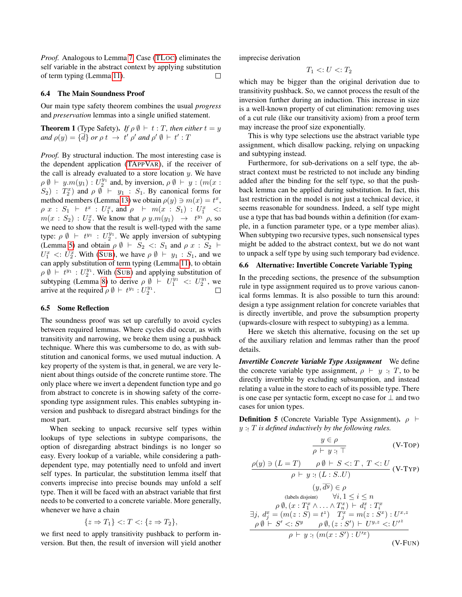*Proof.* Analogous to Lemma [7.](#page-10-3) Case [\(TL](#page-8-4)OC) eliminates the self variable in the abstract context by applying substitution of term typing (Lemma [11\)](#page-10-6). □

#### 6.4 The Main Soundness Proof

Our main type safety theorem combines the usual *progress* and *preservation* lemmas into a single unified statement.

<span id="page-11-0"></span>**Theorem 1** (Type Safety). *If*  $\rho \emptyset + t : T$ , then either  $t = y$ *and*  $\rho(y) = {\overline{d}}$  *or*  $\rho t \rightarrow t' \rho'$  *and*  $\rho' \emptyset \vdash t' : T$ 

*Proof.* By structural induction. The most interesting case is the dependent application [\(TA](#page-4-15)PPVAR), if the receiver of the call is already evaluated to a store location  $y$ . We have  $\rho \emptyset \vdash y.m(y_1) : U_2^{y_1}$  and, by inversion,  $\rho \emptyset \vdash y : (m(x : y_1) \ldots y_n)$  $(S_2)$ :  $T_2^x$  and  $\rho \emptyset + y_1 : S_1$ . By canonical forms for method members (Lemma [13\)](#page-10-7) we obtain  $\rho(y) \ni m(x) = t^x$ ,  $\rho \; x \; : \; S_1 \; \vdash \; t^x \; : \; U_1^x, \; \text{and} \; \rho \;\; \vdash \; m(x \; : \; S_1) \; : \; U_1^x \; \; <:$  $m(x : S_2) : U_2^x$ . We know that  $\rho \, y.m(y_1) \rightarrow t^{y_1} \, \rho$ , so we need to show that the result is well-typed with the same type:  $\rho \emptyset \vdash t^{y_1} : U_2^{y_1}$ . We apply inversion of subtyping (Lemma [5\)](#page-9-4) and obtain  $\rho \emptyset \vdash S_2 \lt: S_1$  and  $\rho x : S_2 \vdash$  $U_1^x$  <:  $U_2^x$ . With (S[UB](#page-4-5)), we have  $\rho \emptyset + y_1 : S_1$ , and we can apply substitution of term typing (Lemma [11\)](#page-10-6), to obtain  $\rho \emptyset \vdash t^{y_1} : U_2^{y_1}$ . With (S[UB](#page-4-5)) and applying substitution of subtyping (Lemma [8\)](#page-10-5) to derive  $\rho \emptyset \vdash U_1^{y_1} \langle : U_2^{y_1}, \text{ we} \rangle$ arrive at the required  $\rho \emptyset \vdash t^{y_1} : U_2^{y_1}$ .  $\Box$ 

#### <span id="page-11-1"></span>6.5 Some Reflection

The soundness proof was set up carefully to avoid cycles between required lemmas. Where cycles did occur, as with transitivity and narrowing, we broke them using a pushback technique. Where this was cumbersome to do, as with substitution and canonical forms, we used mutual induction. A key property of the system is that, in general, we are very lenient about things outside of the concrete runtime store. The only place where we invert a dependent function type and go from abstract to concrete is in showing safety of the corresponding type assignment rules. This enables subtyping inversion and pushback to disregard abstract bindings for the most part.

When seeking to unpack recursive self types within lookups of type selections in subtype comparisons, the option of disregarding abstract bindings is no longer so easy. Every lookup of a variable, while considering a pathdependent type, may potentially need to unfold and invert self types. In particular, the substitution lemma itself that converts imprecise into precise bounds may unfold a self type. Then it will be faced with an abstract variable that first needs to be converted to a concrete variable. More generally, whenever we have a chain

$$
\{z \Rightarrow T_1\} <: T <: \{z \Rightarrow T_2\},
$$

we first need to apply transitivity pushback to perform inversion. But then, the result of inversion will yield another imprecise derivation

$$
T_1 <: U <: T_2
$$

which may be bigger than the original derivation due to transitivity pushback. So, we cannot process the result of the inversion further during an induction. This increase in size is a well-known property of cut elimination: removing uses of a cut rule (like our transitivity axiom) from a proof term may increase the proof size exponentially.

This is why type selections use the abstract variable type assignment, which disallow packing, relying on unpacking and subtyping instead.

Furthermore, for sub-derivations on a self type, the abstract context must be restricted to not include any binding added after the binding for the self type, so that the pushback lemma can be applied during substitution. In fact, this last restriction in the model is not just a technical device, it seems reasonable for soundness. Indeed, a self type might use a type that has bad bounds within a definition (for example, in a function parameter type, or a type member alias). When subtyping two recursive types, such nonsensical types might be added to the abstract context, but we do not want to unpack a self type by using such temporary bad evidence.

# <span id="page-11-2"></span>6.6 Alternative: Invertible Concrete Variable Typing

In the preceding sections, the presence of the subsumption rule in type assignment required us to prove various canonical forms lemmas. It is also possible to turn this around: design a type assignment relation for concrete variables that is directly invertible, and prove the subsumption property (upwards-closure with respect to subtyping) as a lemma.

Here we sketch this alternative, focusing on the set up of the auxiliary relation and lemmas rather than the proof details.

*Invertible Concrete Variable Type Assignment* We define the concrete variable type assignment,  $\rho \vdash y : T$ , to be directly invertible by excluding subsumption, and instead relating a value in the store to each of its possible type. There is one case per syntactic form, except no case for  $\perp$  and two cases for union types.

<span id="page-11-3"></span>**Definition 5** (Concrete Variable Type Assignment).  $\rho$   $\vdash$ y :! T *is defined inductively by the following rules.*

$$
\frac{y \in \rho}{\rho \vdash y : \vdash} \qquad \qquad \text{(V-Top)}
$$
\n
$$
\frac{\rho(y) \ni (L = T) \qquad \rho \emptyset \vdash S <: T, T <: U}{\rho \vdash y : \vdash (L : S .. U)} \qquad \qquad \text{(V-Typ)}
$$

$$
(y, d^y) \in \rho
$$
  
\n(labels disjoint)  $\forall i, 1 \le i \le n$   
\n
$$
\rho \emptyset, (x : T_1^x \land \dots \land T_n^x) \vdash d_i^x : T_i^x
$$
  
\n
$$
\exists j, d_j^x = (m(z : S) = t^z) \quad T_j^x = m(z : S^x) : U^{x,z}
$$
  
\n
$$
\rho \emptyset \vdash S' <: S^y \qquad \rho \emptyset, (z : S') \vdash U^{y,z} <: U'^z
$$
  
\n
$$
\rho \vdash y : (m(x : S') : U'^x)
$$
  
\n(V-FUN)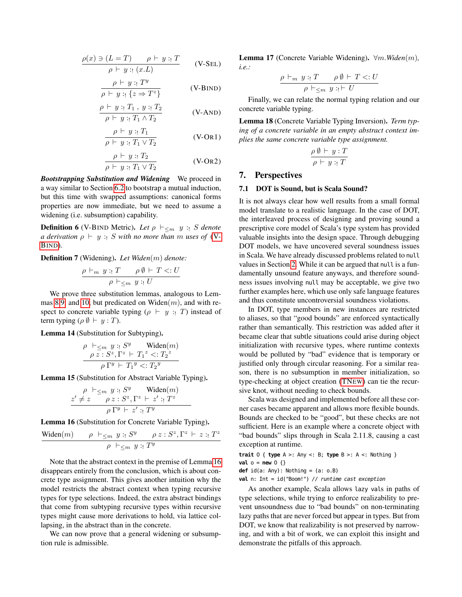$$
\frac{\rho(x) \ni (L = T) \qquad \rho \vdash y :: T}{\rho \vdash y :: (x.L)} \qquad (V-SEL)
$$

$$
\frac{\rho \vdash y : T^y}{\rho \vdash y : \{z \Rightarrow T^z\}}
$$
 (V-BIND)

$$
\frac{\rho \vdash y :: T_1, y :: T_2}{\rho \vdash y :: T_1 \land T_2}
$$
 (V-AND)

$$
\frac{\rho \vdash y : T_1}{\rho \vdash y : T_1 \lor T_2}
$$
 (V-OR1)

$$
\frac{\rho \vdash y : T_2}{\rho \vdash y : T_1 \lor T_2}
$$
 (V-OR2)

*Bootstrapping Substitution and Widening* We proceed in a way similar to Section [6.2](#page-9-0) to bootstrap a mutual induction, but this time with swapped assumptions: canonical forms properties are now immediate, but we need to assume a widening (i.e. subsumption) capability.

<span id="page-12-4"></span>**Definition 6** (V-BIND Metric). Let  $\rho \vdash_{\leq m} y : S$  denote *a derivation*  $\rho \vdash y : S$  *with no more than m uses of* [\(V-](#page-12-2)B[IND](#page-12-2))*.*

<span id="page-12-5"></span>Definition 7 (Widening). *Let Widen*(m) *denote:*

$$
\frac{\rho \vdash_m y : T \qquad \rho \emptyset \vdash T <: U}{\rho \vdash_{\leq m} y : U}
$$

We prove three substitution lemmas, analogous to Lem-mas [8](#page-10-5)[,9,](#page-10-4) and [10,](#page-10-2) but predicated on Widen $(m)$ , and with respect to concrete variable typing  $(\rho \vdash y : T)$  instead of term typing ( $\rho \emptyset \vdash y : T$ ).

<span id="page-12-6"></span>Lemma 14 (Substitution for Subtyping).

$$
\rho \vdash_{\leq m} y :: S^y \text{ Widen}(m)
$$
  
\n
$$
\rho z :: S^z, \Gamma^z \vdash T_1^z < T_2^z
$$
  
\n
$$
\rho \Gamma^y \vdash T_1^y < T_2^y
$$

<span id="page-12-7"></span>Lemma 15 (Substitution for Abstract Variable Typing).

$$
\frac{\rho \vdash_{\leq m} y :: S^y \quad \text{Widen}(m)}{\rho \; z : S^z, \Gamma^z \vdash z': T^z} \quad \rho \; \Gamma^y \vdash z': T^y}
$$

<span id="page-12-3"></span>Lemma 16 (Substitution for Concrete Variable Typing).

$$
\frac{\text{Widen}(m)}{\rho} \quad \rho \vdash_{\leq m} y : \_S^y \quad \rho z : S^z, \Gamma^z \vdash z : \_T^z
$$
\n
$$
\rho \vdash_{\leq m} y : \_T^y
$$

Note that the abstract context in the premise of Lemma [16](#page-12-3) disappears entirely from the conclusion, which is about concrete type assignment. This gives another intuition why the model restricts the abstract context when typing recursive types for type selections. Indeed, the extra abstract bindings that come from subtyping recursive types within recursive types might cause more derivations to hold, via lattice collapsing, in the abstract than in the concrete.

<span id="page-12-8"></span>We can now prove that a general widening or subsumption rule is admissible.

Lemma 17 (Concrete Variable Widening). ∀m.*Widen*(m)*, i.e.:*

$$
\frac{\rho \vdash_m y : T \qquad \rho \emptyset \vdash T <: U}{\rho \vdash_{\leq m} y : P \vdash U}
$$

<span id="page-12-2"></span>Finally, we can relate the normal typing relation and our concrete variable typing.

<span id="page-12-9"></span>Lemma 18 (Concrete Variable Typing Inversion). *Term typing of a concrete variable in an empty abstract context implies the same concrete variable type assignment.*

$$
\frac{\rho \emptyset \vdash y : T}{\rho \vdash y : T}
$$

# <span id="page-12-0"></span>7. Perspectives

#### <span id="page-12-1"></span>7.1 DOT is Sound, but is Scala Sound?

It is not always clear how well results from a small formal model translate to a realistic language. In the case of DOT, the interleaved process of designing and proving sound a prescriptive core model of Scala's type system has provided valuable insights into the design space. Through debugging DOT models, we have uncovered several soundness issues in Scala. We have already discussed problems related to null values in Section [2.](#page-0-0) While it can be argued that null is a fundamentally unsound feature anyways, and therefore soundness issues involving null may be acceptable, we give two further examples here, which use only safe language features and thus constitute uncontroversial soundness violations.

In DOT, type members in new instances are restricted to aliases, so that "good bounds" are enforced syntactically rather than semantically. This restriction was added after it became clear that subtle situations could arise during object initialization with recursive types, where runtime contexts would be polluted by "bad" evidence that is temporary or justified only through circular reasoning. For a similar reason, there is no subsumption in member initialization, so type-checking at object creation [\(TN](#page-4-6)EW) can tie the recursive knot, without needing to check bounds.

Scala was designed and implemented before all these corner cases became apparent and allows more flexible bounds. Bounds are checked to be "good", but these checks are not sufficient. Here is an example where a concrete object with "bad bounds" slips through in Scala 2.11.8, causing a cast exception at runtime.

**trait** O { **type** A >: Any <: B; **type** B >: A <: Nothing } **val** o = **new** O {}

**def** id(a: Any): Nothing = (a: o.B)

**val** n: Int = id("Boom!") // runtime cast exception

As another example, Scala allows lazy vals in paths of type selections, while trying to enforce realizability to prevent unsoundness due to "bad bounds" on non-terminating lazy paths that are never forced but appear in types. But from DOT, we know that realizability is not preserved by narrowing, and with a bit of work, we can exploit this insight and demonstrate the pitfalls of this approach.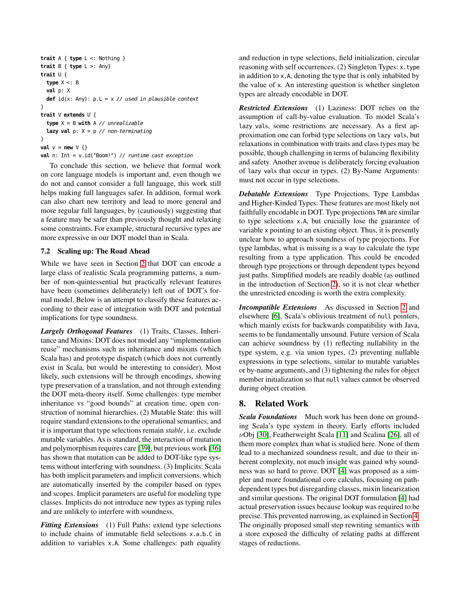```
trait A { type L <: Nothing }
trait B { type L >: Any}
trait U {
  type X <: B
  val p: X
  def id(x: Any): p.L = x // used in plausible context}
trait V extends U {
  type X = B with A // unrealizable
  lazy val p: X = p // non-terminating
}
val v = new \vee \{\}val n: Int = v.id("Boom!") // runtime cast exception
```
To conclude this section, we believe that formal work on core language models is important and, even though we do not and cannot consider a full language, this work still helps making full languages safer. In addition, formal work can also chart new territory and lead to more general and more regular full languages, by (cautiously) suggesting that a feature may be safer than previously thought and relaxing some constraints. For example, structural recursive types are more expressive in our DOT model than in Scala.

# <span id="page-13-1"></span>7.2 Scaling up: The Road Ahead

While we have seen in Section [2](#page-0-0) that DOT can encode a large class of realistic Scala programming patterns, a number of non-quintessential but practically relevant features have been (sometimes deliberately) left out of DOT's formal model. Below is an attempt to classify these features according to their ease of integration with DOT and potential implications for type soundness.

*Largely Orthogonal Features* (1) Traits, Classes, Inheritance and Mixins: DOT does not model any "implementation reuse" mechanisms such as inheritance and mixins (which Scala has) and prototype dispatch (which does not currently exist in Scala, but would be interesting to consider). Most likely, such extensions will be through encodings, showing type preservation of a translation, and not through extending the DOT meta-theory itself. Some challenges: type member inheritance vs "good bounds" at creation time, open construction of nominal hierarchies. (2) Mutable State: this will require standard extensions to the operational semantics, and it is important that type selections remain *stable*, i.e. exclude mutable variables. As is standard, the interaction of mutation and polymorphism requires care [\[39\]](#page-15-20), but previous work [\[36\]](#page-15-17) has shown that mutation can be added to DOT-like type systems without interfering with soundness. (3) Implicits: Scala has both implicit parameters and implicit conversions, which are automatically inserted by the compiler based on types and scopes. Implicit parameters are useful for modeling type classes. Implicits do not introduce new types as typing rules and are unlikely to interfere with soundness.

*Fitting Extensions* (1) Full Paths: extend type selections to include chains of immutable field selections x.a.b.C in addition to variables x.A. Some challenges: path equality

and reduction in type selections, field initialization, circular reasoning with self occurrences. (2) Singleton Types: x.type in addition to x.A, denoting the type that is only inhabited by the value of x. An interesting question is whether singleton types are already encodable in DOT.

*Restricted Extensions* (1) Laziness: DOT relies on the assumption of call-by-value evaluation. To model Scala's lazy vals, some restrictions are necessary. As a first approximation one can forbid type selections on lazy vals, but relaxations in combination with traits and class types may be possible, though challenging in terms of balancing flexibility and safety. Another avenue is deliberately forcing evaluation of lazy vals that occur in types. (2) By-Name Arguments: must not occur in type selections.

*Debatable Extensions* Type Projections, Type Lambdas and Higher-Kinded Types: These features are most likely not faithfully encodable in DOT. Type projections T#A are similar to type selections x.A, but crucially lose the guarantee of variable x pointing to an existing object. Thus, it is presently unclear how to approach soundness of type projections. For type lambdas, what is missing is a way to calculate the type resulting from a type application. This could be encoded through type projections or through dependent types beyond just paths. Simplified models are readily doable (as outlined in the introduction of Section [2\)](#page-0-0), so it is not clear whether the unrestricted encoding is worth the extra complexity.

*Incompatible Extensions* As discussed in Section [2](#page-0-0) and elsewhere [\[6\]](#page-15-8), Scala's oblivious treatment of null pointers, which mainly exists for backwards compatibility with Java, seems to be fundamentally unsound. Future version of Scala can achieve soundness by (1) reflecting nullability in the type system, e.g. via union types, (2) preventing nullable expressions in type selections, similar to mutable variables or by-name arguments, and (3) tightening the rules for object member initialization so that null values cannot be observed during object creation.

# <span id="page-13-0"></span>8. Related Work

*Scala Foundations* Much work has been done on grounding Scala's type system in theory. Early efforts included  $\nu$ Obj [\[30\]](#page-15-21), Featherweight Scala [\[11\]](#page-15-22) and Scalina [\[26\]](#page-15-23), all of them more complex than what is studied here. None of them lead to a mechanized soundness result, and due to their inherent complexity, not much insight was gained why soundness was so hard to prove. DOT [\[4\]](#page-15-1) was proposed as a simpler and more foundational core calculus, focusing on pathdependent types but disregarding classes, mixin linearization and similar questions. The original DOT formulation [\[4\]](#page-15-1) had actual preservation issues because lookup was required to be precise. This prevented narrowing, as explained in Section [4.](#page-5-0) The originally proposed small step rewriting semantics with a store exposed the difficulty of relating paths at different stages of reductions.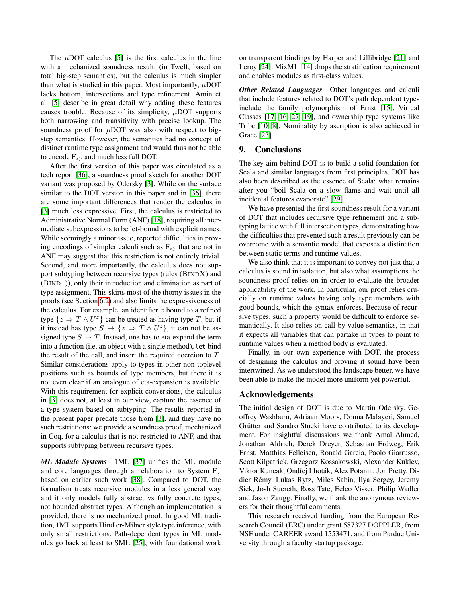The  $\mu$ DOT calculus [\[5\]](#page-15-2) is the first calculus in the line with a mechanized soundness result, (in Twelf, based on total big-step semantics), but the calculus is much simpler than what is studied in this paper. Most importantly,  $\mu$ DOT lacks bottom, intersections and type refinement. Amin et al. [\[5\]](#page-15-2) describe in great detail why adding these features causes trouble. Because of its simplicity,  $\mu$ DOT supports both narrowing and transitivity with precise lookup. The soundness proof for  $\mu$ DOT was also with respect to bigstep semantics. However, the semantics had no concept of distinct runtime type assignment and would thus not be able to encode  $F_{\leq 1}$  and much less full DOT.

After the first version of this paper was circulated as a tech report [\[36\]](#page-15-17), a soundness proof sketch for another DOT variant was proposed by Odersky [\[3\]](#page-15-24). While on the surface similar to the DOT version in this paper and in [\[36\]](#page-15-17), there are some important differences that render the calculus in [\[3\]](#page-15-24) much less expressive. First, the calculus is restricted to Administrative Normal Form (ANF) [\[18\]](#page-15-25), requiring all intermediate subexpressions to be let-bound with explicit names. While seemingly a minor issue, reported difficulties in proving encodings of simpler calculi such as  $F_{\leq}$  that are not in ANF may suggest that this restriction is not entirely trivial. Second, and more importantly, the calculus does not support subtyping between recursive types (rules (BINDX) and (BIND1)), only their introduction and elimination as part of type assignment. This skirts most of the thorny issues in the proofs (see Section [6.2\)](#page-9-0) and also limits the expressiveness of the calculus. For example, an identifier  $x$  bound to a refined type  $\{z \Rightarrow T \wedge U^z\}$  can be treated as having type T, but if it instead has type  $S \to \{z \Rightarrow T \wedge U^z\}$ , it can not be assigned type  $S \to T$ . Instead, one has to eta-expand the term into a function (i.e. an object with a single method), let-bind the result of the call, and insert the required coercion to T. Similar considerations apply to types in other non-toplevel positions such as bounds of type members, but there it is not even clear if an analogue of eta-expansion is available. With this requirement for explicit conversions, the calculus in [\[3\]](#page-15-24) does not, at least in our view, capture the essence of a type system based on subtyping. The results reported in the present paper predate those from [\[3\]](#page-15-24), and they have no such restrictions: we provide a soundness proof, mechanized in Coq, for a calculus that is not restricted to ANF, and that supports subtyping between recursive types.

*ML Module Systems* 1ML [\[37\]](#page-15-26) unifies the ML module and core languages through an elaboration to System  $F_{\omega}$ based on earlier such work [\[38\]](#page-15-27). Compared to DOT, the formalism treats recursive modules in a less general way and it only models fully abstract vs fully concrete types, not bounded abstract types. Although an implementation is provided, there is no mechanized proof. In good ML tradition, 1ML supports Hindler-Milner style type inference, with only small restrictions. Path-dependent types in ML modules go back at least to SML [\[25\]](#page-15-28), with foundational work

on transparent bindings by Harper and Lillibridge [\[21\]](#page-15-29) and Leroy [\[24\]](#page-15-30). MixML [\[14\]](#page-15-31) drops the stratification requirement and enables modules as first-class values.

*Other Related Languages* Other languages and calculi that include features related to DOT's path dependent types include the family polymorphism of Ernst [\[15\]](#page-15-32), Virtual Classes [\[17,](#page-15-33) [16,](#page-15-34) [27,](#page-15-35) [19\]](#page-15-36), and ownership type systems like Tribe [\[10,](#page-15-37) [8\]](#page-15-38). Nominality by ascription is also achieved in Grace [\[23\]](#page-15-39).

## <span id="page-14-0"></span>9. Conclusions

The key aim behind DOT is to build a solid foundation for Scala and similar languages from first principles. DOT has also been described as the essence of Scala: what remains after you "boil Scala on a slow flame and wait until all incidental features evaporate" [\[29\]](#page-15-40).

We have presented the first soundness result for a variant of DOT that includes recursive type refinement and a subtyping lattice with full intersection types, demonstrating how the difficulties that prevented such a result previously can be overcome with a semantic model that exposes a distinction between static terms and runtime values.

We also think that it is important to convey not just that a calculus is sound in isolation, but also what assumptions the soundness proof relies on in order to evaluate the broader applicability of the work. In particular, our proof relies crucially on runtime values having only type members with good bounds, which the syntax enforces. Because of recursive types, such a property would be difficult to enforce semantically. It also relies on call-by-value semantics, in that it expects all variables that can partake in types to point to runtime values when a method body is evaluated.

Finally, in our own experience with DOT, the process of designing the calculus and proving it sound have been intertwined. As we understood the landscape better, we have been able to make the model more uniform yet powerful.

# Acknowledgements

The initial design of DOT is due to Martin Odersky. Geoffrey Washburn, Adriaan Moors, Donna Malayeri, Samuel Grütter and Sandro Stucki have contributed to its development. For insightful discussions we thank Amal Ahmed, Jonathan Aldrich, Derek Dreyer, Sebastian Erdweg, Erik Ernst, Matthias Felleisen, Ronald Garcia, Paolo Giarrusso, Scott Kilpatrick, Grzegorz Kossakowski, Alexander Kuklev, Viktor Kuncak, Ondřej Lhoták, Alex Potanin, Jon Pretty, Didier Rémy, Lukas Rytz, Miles Sabin, Ilya Sergey, Jeremy Siek, Josh Suereth, Ross Tate, Eelco Visser, Philip Wadler and Jason Zaugg. Finally, we thank the anonymous reviewers for their thoughtful comments.

This research received funding from the European Research Council (ERC) under grant 587327 DOPPLER, from NSF under CAREER award 1553471, and from Purdue University through a faculty startup package.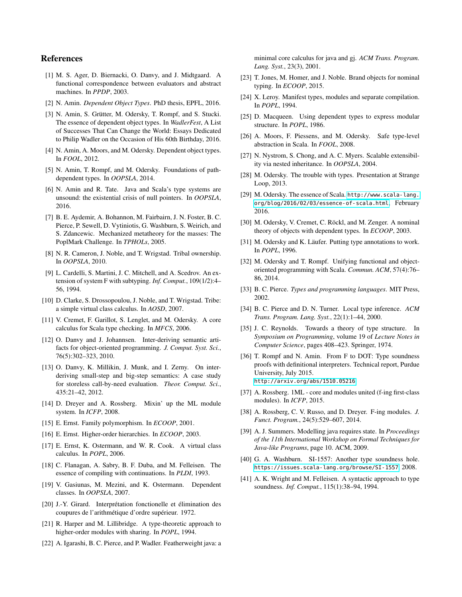# References

- <span id="page-15-16"></span>[1] M. S. Ager, D. Biernacki, O. Danvy, and J. Midtgaard. A functional correspondence between evaluators and abstract machines. In *PPDP*, 2003.
- <span id="page-15-13"></span>[2] N. Amin. *Dependent Object Types*. PhD thesis, EPFL, 2016.
- <span id="page-15-24"></span>[3] N. Amin, S. Grütter, M. Odersky, T. Rompf, and S. Stucki. The essence of dependent object types. In *WadlerFest*, A List of Successes That Can Change the World: Essays Dedicated to Philip Wadler on the Occasion of His 60th Birthday, 2016.
- <span id="page-15-1"></span>[4] N. Amin, A. Moors, and M. Odersky. Dependent object types. In *FOOL*, 2012.
- <span id="page-15-2"></span>[5] N. Amin, T. Rompf, and M. Odersky. Foundations of pathdependent types. In *OOPSLA*, 2014.
- <span id="page-15-8"></span>[6] N. Amin and R. Tate. Java and Scala's type systems are unsound: the existential crisis of null pointers. In *OOPSLA*, 2016.
- <span id="page-15-19"></span>[7] B. E. Aydemir, A. Bohannon, M. Fairbairn, J. N. Foster, B. C. Pierce, P. Sewell, D. Vytiniotis, G. Washburn, S. Weirich, and S. Zdancewic. Mechanized metatheory for the masses: The PoplMark Challenge. In *TPHOLs*, 2005.
- <span id="page-15-38"></span>[8] N. R. Cameron, J. Noble, and T. Wrigstad. Tribal ownership. In *OOPSLA*, 2010.
- <span id="page-15-6"></span>[9] L. Cardelli, S. Martini, J. C. Mitchell, and A. Scedrov. An extension of system F with subtyping. *Inf. Comput.*, 109(1/2):4– 56, 1994.
- <span id="page-15-37"></span>[10] D. Clarke, S. Drossopoulou, J. Noble, and T. Wrigstad. Tribe: a simple virtual class calculus. In *AOSD*, 2007.
- <span id="page-15-22"></span>[11] V. Cremet, F. Garillot, S. Lenglet, and M. Odersky. A core calculus for Scala type checking. In *MFCS*, 2006.
- <span id="page-15-14"></span>[12] O. Danvy and J. Johannsen. Inter-deriving semantic artifacts for object-oriented programming. *J. Comput. Syst. Sci.*, 76(5):302–323, 2010.
- <span id="page-15-15"></span>[13] O. Danvy, K. Millikin, J. Munk, and I. Zerny. On interderiving small-step and big-step semantics: A case study for storeless call-by-need evaluation. *Theor. Comput. Sci.*, 435:21–42, 2012.
- <span id="page-15-31"></span>[14] D. Dreyer and A. Rossberg. Mixin' up the ML module system. In *ICFP*, 2008.
- <span id="page-15-32"></span>[15] E. Ernst. Family polymorphism. In *ECOOP*, 2001.
- <span id="page-15-34"></span>[16] E. Ernst. Higher-order hierarchies. In *ECOOP*, 2003.
- <span id="page-15-33"></span>[17] E. Ernst, K. Ostermann, and W. R. Cook. A virtual class calculus. In *POPL*, 2006.
- <span id="page-15-25"></span>[18] C. Flanagan, A. Sabry, B. F. Duba, and M. Felleisen. The essence of compiling with continuations. In *PLDI*, 1993.
- <span id="page-15-36"></span>[19] V. Gasiunas, M. Mezini, and K. Ostermann. Dependent classes. In *OOPSLA*, 2007.
- <span id="page-15-4"></span>[20] J.-Y. Girard. Interprétation fonctionelle et élimination des coupures de l'arithmétique d'ordre supérieur. 1972.
- <span id="page-15-29"></span>[21] R. Harper and M. Lillibridge. A type-theoretic approach to higher-order modules with sharing. In *POPL*, 1994.
- <span id="page-15-10"></span>[22] A. Igarashi, B. C. Pierce, and P. Wadler. Featherweight java: a

minimal core calculus for java and gj. *ACM Trans. Program. Lang. Syst.*, 23(3), 2001.

- <span id="page-15-39"></span>[23] T. Jones, M. Homer, and J. Noble. Brand objects for nominal typing. In *ECOOP*, 2015.
- <span id="page-15-30"></span>[24] X. Leroy. Manifest types, modules and separate compilation. In *POPL*, 1994.
- <span id="page-15-28"></span>[25] D. Macqueen. Using dependent types to express modular structure. In *POPL*, 1986.
- <span id="page-15-23"></span>[26] A. Moors, F. Piessens, and M. Odersky. Safe type-level abstraction in Scala. In *FOOL*, 2008.
- <span id="page-15-35"></span>[27] N. Nystrom, S. Chong, and A. C. Myers. Scalable extensibility via nested inheritance. In *OOPSLA*, 2004.
- <span id="page-15-3"></span>[28] M. Odersky. The trouble with types. Presentation at Strange Loop, 2013.
- <span id="page-15-40"></span>[29] M. Odersky. The essence of Scala. [http://www.scala-lang.](http://www.scala-lang.org/blog/2016/02/03/essence-of-scala.html) [org/blog/2016/02/03/essence-of-scala.html](http://www.scala-lang.org/blog/2016/02/03/essence-of-scala.html), February 2016.
- <span id="page-15-21"></span>[30] M. Odersky, V. Cremet, C. Röckl, and M. Zenger. A nominal theory of objects with dependent types. In *ECOOP*, 2003.
- <span id="page-15-12"></span>[31] M. Odersky and K. Läufer. Putting type annotations to work. In *POPL*, 1996.
- <span id="page-15-0"></span>[32] M. Odersky and T. Rompf. Unifying functional and objectoriented programming with Scala. *Commun. ACM*, 57(4):76– 86, 2014.
- <span id="page-15-9"></span>[33] B. C. Pierce. *Types and programming languages*. MIT Press, 2002.
- <span id="page-15-11"></span>[34] B. C. Pierce and D. N. Turner. Local type inference. *ACM Trans. Program. Lang. Syst.*, 22(1):1–44, 2000.
- <span id="page-15-5"></span>[35] J. C. Reynolds. Towards a theory of type structure. In *Symposium on Programming*, volume 19 of *Lecture Notes in Computer Science*, pages 408–423. Springer, 1974.
- <span id="page-15-17"></span>[36] T. Rompf and N. Amin. From F to DOT: Type soundness proofs with definitional interpreters. Technical report, Purdue University, July 2015. <http://arxiv.org/abs/1510.05216>.
- <span id="page-15-26"></span>[37] A. Rossberg. 1ML - core and modules united (f-ing first-class modules). In *ICFP*, 2015.
- <span id="page-15-27"></span>[38] A. Rossberg, C. V. Russo, and D. Dreyer. F-ing modules. *J. Funct. Program.*, 24(5):529–607, 2014.
- <span id="page-15-20"></span>[39] A. J. Summers. Modelling java requires state. In *Proceedings of the 11th International Workshop on Formal Techniques for Java-like Programs*, page 10. ACM, 2009.
- <span id="page-15-7"></span>[40] G. A. Washburn. SI-1557: Another type soundness hole. <https://issues.scala-lang.org/browse/SI-1557>, 2008.
- <span id="page-15-18"></span>[41] A. K. Wright and M. Felleisen. A syntactic approach to type soundness. *Inf. Comput.*, 115(1):38–94, 1994.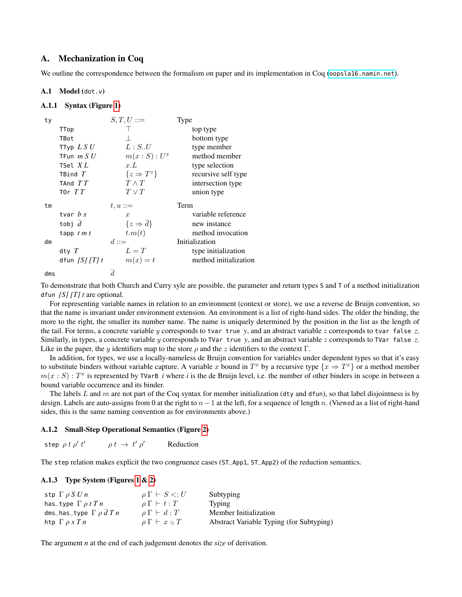# A. Mechanization in Coq

We outline the correspondence between the formalism on paper and its implementation in Coq (<oopsla16.namin.net>).

# A.1 Model (dot.v)

## A.1.1 Syntax (Figure [1\)](#page-4-0)

| ty |                 | $S,T,U ::=$             | Type                  |
|----|-----------------|-------------------------|-----------------------|
|    | TTop            |                         | top type              |
|    | TBot            |                         | bottom type           |
|    | TTyp $LS U$     | L: S.U                  | type member           |
|    | TFun $m S U$    | $m(x : S) : U^x$        | method member         |
|    | TSel $XL$       | x.L                     | type selection        |
|    | TBind $T$       | $\{z \Rightarrow T^z\}$ | recursive self type   |
|    | TAnd $TT$       | $T \wedge T$            | intersection type     |
|    | T0r $TT$        | $T \vee T$              | union type            |
|    |                 |                         |                       |
| tm |                 | $t, u ::=$              | Term                  |
|    | tvar $b x$      | $\boldsymbol{x}$        | variable reference    |
|    | tobj $d$        | $\{z \Rightarrow d\}$   | new instance          |
|    | tapp $t m t$    | t.m(t)                  | method invocation     |
| dm |                 | $d ::=$                 | Initialization        |
|    | dty $T$         | $L=T$                   | type initialization   |
|    | dfun $[S]/[T]t$ | $m(x) = t$              | method initialization |

To demonstrate that both Church and Curry syle are possible, the parameter and return types S and T of a method initialization dfun *[S] [T] t* are optional.

For representing variable names in relation to an environment (context or store), we use a reverse de Bruijn convention, so that the name is invariant under environment extension. An environment is a list of right-hand sides. The older the binding, the more to the right, the smaller its number name. The name is uniquely determined by the position in the list as the length of the tail. For terms, a concrete variable y corresponds to tvar true *y*, and an abstract variable z corresponds to tvar false *z*. Similarly, in types, a concrete variable y corresponds to TVar true *y*, and an abstract variable z corresponds to TVar false *z*. Like in the paper, the y identifiers map to the store  $\rho$  and the z identifiers to the context Γ.

In addition, for types, we use a locally-nameless de Bruijn convention for variables under dependent types so that it's easy to substitute binders without variable capture. A variable x bound in  $T^x$  by a recursive type  $\{x \Rightarrow T^x\}$  or a method member  $m(x : S) : T^x$  is represented by TVarB *i* where *i* is the de Bruijn level, i.e. the number of other binders in scope in between a bound variable occurrence and its binder.

The labels L and m are not part of the Coq syntax for member initialization (dty and dfun), so that label disjointness is by design. Labels are auto-assigns from 0 at the right to  $n-1$  at the left, for a sequence of length n. (Viewed as a list of right-hand sides, this is the same naming convention as for environments above.)

#### A.1.2 Small-Step Operational Semantics (Figure [2\)](#page-8-1)

step  $\rho t \rho' t'$   $\rho t \rightarrow t' \rho$ Reduction

The step relation makes explicit the two congruence cases (ST\_App1, ST\_App2) of the reduction semantics.

#### A.1.3 Type System (Figures [1](#page-4-0) & [2\)](#page-8-1)

| stp $\Gamma \, \rho \, S \, U \, n$    | $\rho \Gamma \vdash S \lt: U$ | Subtyping                                |
|----------------------------------------|-------------------------------|------------------------------------------|
| has_type $\Gamma$ $\rho$ $t$ $T$ $n$   | $\rho \Gamma \vdash t : T$    | Typing                                   |
| dms_has_type $\Gamma \rho \, d \, T n$ | $\rho \Gamma \vdash d : T$    | Member Initialization                    |
| htp $\Gamma \rho x T n$                | $\rho \Gamma \vdash x :: T$   | Abstract Variable Typing (for Subtyping) |

The argument *n* at the end of each judgement denotes the *size* of derivation.